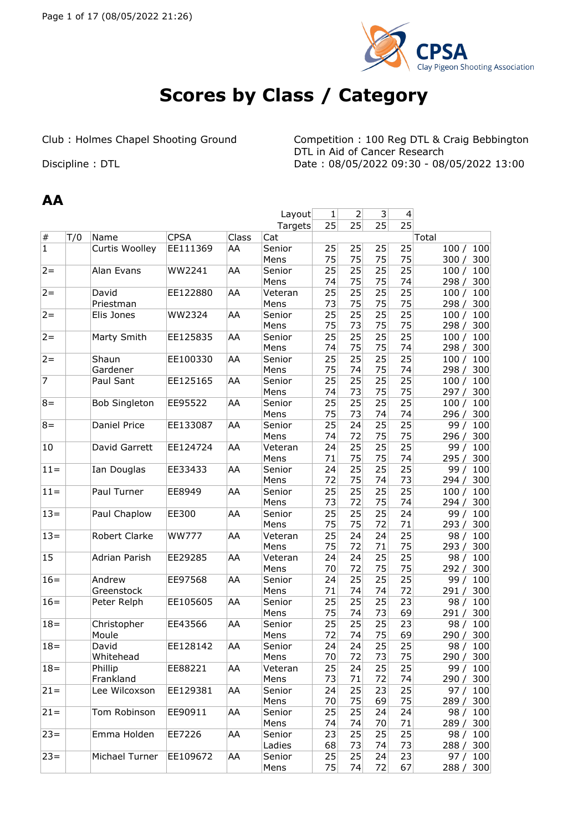

# **Scores by Class / Category**

Club : Holmes Chapel Shooting Ground Competition : 100 Reg DTL & Craig Bebbington

DTL in Aid of Cancer Research Discipline : DTL Discipline : DTL Date : 08/05/2022 09:30 - 08/05/2022 13:00

#### **AA**

| Layout         |     |                      |              |       |                 | 1        | 2        | 3        | $\overline{4}$ |                           |
|----------------|-----|----------------------|--------------|-------|-----------------|----------|----------|----------|----------------|---------------------------|
|                |     |                      |              |       | Targets         | 25       | 25       | 25       | 25             |                           |
| $\#$           | T/0 | Name                 | <b>CPSA</b>  | Class | Cat             |          |          |          |                | Total                     |
| $\mathbf{1}$   |     | Curtis Woolley       | EE111369     | AA    | Senior          | 25       | 25       | 25       | 25             | 100/<br>100               |
|                |     |                      |              |       | Mens            | 75       | 75       | 75       | 75             | 300 / 300                 |
| $2 =$          |     | Alan Evans           | WW2241       | AA    | Senior          | 25       | 25       | 25       | 25             | 100/<br>100               |
|                |     |                      |              |       | Mens            | 74       | 75       | 75       | 74             | 298/<br>300               |
| $2 =$          |     | David                | EE122880     | AA    | Veteran         | 25       | 25       | 25       | 25             | 100/<br>100               |
|                |     | Priestman            |              |       | Mens            | 73       | 75       | 75       | 75             | 300<br>298 /              |
| $2 =$          |     | Elis Jones           | WW2324       | AA    | Senior          | 25       | 25       | 25       | 25             | 100/<br>100               |
|                |     |                      |              |       | Mens            | 75       | 73       | 75       | 75             | 298 / 300                 |
| $2 =$          |     | Marty Smith          | EE125835     | AA    | Senior          | 25       | 25       | 25       | 25             | 100 / 100                 |
|                |     |                      |              |       | Mens            | 74       | 75       | 75       | 74             | 298 /<br>300              |
| $2 =$          |     | Shaun                | EE100330     | AA    | Senior          | 25       | 25       | 25       | 25             | 100<br>100/               |
|                |     | Gardener             |              |       | Mens            | 75       | 74       | 75       | 74             | 298 /<br>300              |
| $\overline{7}$ |     | Paul Sant            | EE125165     | AA    | Senior          | 25       | 25       | 25       | 25             | 100/<br>100               |
|                |     |                      |              |       | Mens            | 74       | 73       | 75       | 75             | 297/<br>300               |
| $8 =$          |     | <b>Bob Singleton</b> | EE95522      | AA    | Senior          | 25       | 25       | 25       | 25             | 100 / 100                 |
|                |     |                      |              |       | Mens            | 75       | 73       | 74       | 74             | 296 / 300                 |
| $8 =$          |     | Daniel Price         | EE133087     | AA    | Senior          | 25       | 24       | 25       | 25             | 100<br>99 /               |
| 10             |     |                      |              |       | Mens            | 74<br>24 | 72<br>25 | 75<br>25 | 75<br>25       | 300<br>296/               |
|                |     | David Garrett        | EE124724     | AA    | Veteran<br>Mens | 71       | 75       | 75       | 74             | 99/<br>100<br>300<br>295/ |
| $11 =$         |     | Ian Douglas          | EE33433      | AA    | Senior          | 24       | 25       | 25       | 25             | 99/<br>100                |
|                |     |                      |              |       | Mens            | 72       | 75       | 74       | 73             | 300<br>294/               |
| $11 =$         |     | Paul Turner          | EE8949       | AA    | Senior          | 25       | 25       | 25       | 25             | 100/<br>100               |
|                |     |                      |              |       | Mens            | 73       | 72       | 75       | 74             | 294/<br>300               |
| $13 =$         |     | Paul Chaplow         | EE300        | AA    | Senior          | 25       | 25       | 25       | 24             | 99 /<br>100               |
|                |     |                      |              |       | Mens            | 75       | 75       | 72       | 71             | 300<br>293/               |
| $13 =$         |     | Robert Clarke        | <b>WW777</b> | AA    | Veteran         | 25       | 24       | 24       | 25             | 100<br>98/                |
|                |     |                      |              |       | Mens            | 75       | 72       | 71       | 75             | 300<br>293/               |
| 15             |     | Adrian Parish        | EE29285      | AA    | Veteran         | 24       | 24       | 25       | 25             | 98/<br>100                |
|                |     |                      |              |       | Mens            | 70       | 72       | 75       | 75             | 300<br>292/               |
| $16=$          |     | Andrew               | EE97568      | AA    | Senior          | 24       | 25       | 25       | 25             | 99 /<br>100               |
|                |     | Greenstock           |              |       | Mens            | 71       | 74       | 74       | 72             | 300<br>291/               |
| $16=$          |     | Peter Relph          | EE105605     | AA    | Senior          | 25       | 25       | 25       | 23             | 98/<br>100                |
|                |     |                      |              |       | Mens            | 75       | 74       | 73       | 69             | 300<br>291/               |
| $18 =$         |     | Christopher          | EE43566      | AA    | Senior          | 25       | 25       | 25       | 23             | 100<br>98/                |
|                |     | Moule                |              |       | Mens            | 72       | 74       | 75       | 69             | 290 / 300                 |
| $18 =$         |     | David                | EE128142     | AA    | Senior          | 24       | 24       | 25       | 25             | 98 / 100                  |
|                |     | Whitehead            |              |       | Mens            | 70       | 72       | 73       | 75             | 290 / 300                 |
| $18 =$         |     | Phillip              | EE88221      | AA    | Veteran         | 25       | 24       | 25       | 25             | 99 / 100                  |
|                |     | Frankland            |              |       | Mens            | 73       | 71       | 72       | 74             | 290 / 300                 |
| $21 =$         |     | Lee Wilcoxson        | EE129381     | AA    | Senior          | 24       | 25       | 23       | 25             | 97 / 100                  |
|                |     |                      |              |       | Mens            | 70       | 75       | 69       | 75             | 289 / 300                 |
| $21 =$         |     | Tom Robinson         | EE90911      | AA    | Senior          | 25       | 25       | 24       | 24             | 98 / 100                  |
|                |     |                      |              |       | Mens            | 74       | 74       | 70       | 71             | 289 / 300                 |
| $23 =$         |     | Emma Holden          | EE7226       | AA    | Senior          | 23       | 25       | 25       | 25             | 98 / 100                  |
|                |     |                      |              |       | Ladies          | 68       | 73       | 74       | 73             | 288 / 300                 |
| $23 =$         |     | Michael Turner       | EE109672     | AA    | Senior          | 25<br>75 | 25       | 24       | 23             | 97 / 100                  |
|                |     |                      |              |       | Mens            |          | 74       | 72       | 67             | 288 / 300                 |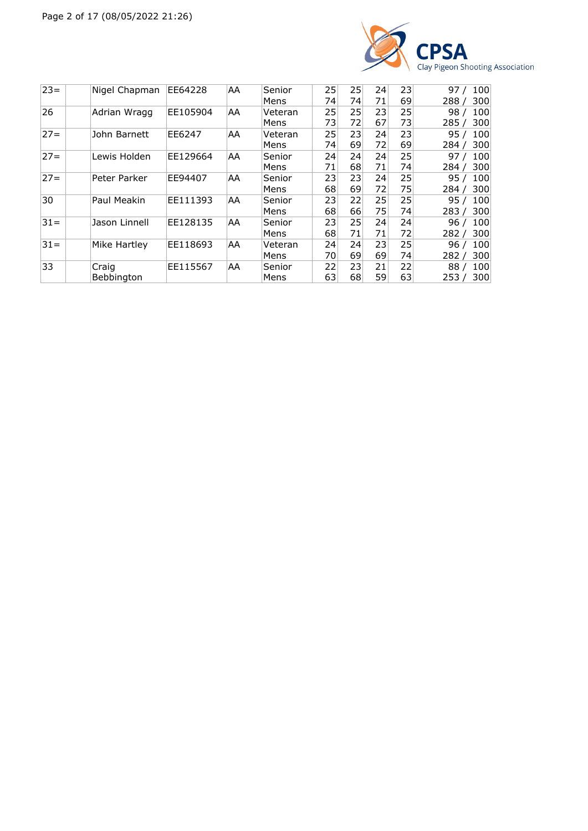

| $23 =$ | Nigel Chapman | EE64228  | AA  | Senior  | 25 | 25 | 24 | 23 | 100<br>97    |
|--------|---------------|----------|-----|---------|----|----|----|----|--------------|
|        |               |          |     | Mens    | 74 | 74 | 71 | 69 | 300<br>288   |
| 26     | Adrian Wragg  | EE105904 | AA. | Veteran | 25 | 25 | 23 | 25 | 100<br>98    |
|        |               |          |     | Mens    | 73 | 72 | 67 | 73 | 285/<br>300  |
| $27 =$ | John Barnett  | EE6247   | AA  | Veteran | 25 | 23 | 24 | 23 | 100<br>95    |
|        |               |          |     | Mens    | 74 | 69 | 72 | 69 | 300<br>284 / |
| $27 =$ | Lewis Holden  | EE129664 | AA. | Senior  | 24 | 24 | 24 | 25 | 100<br>97    |
|        |               |          |     | Mens    | 71 | 68 | 71 | 74 | 300<br>284   |
| $27 =$ | Peter Parker  | EE94407  | AA  | Senior  | 23 | 23 | 24 | 25 | 100<br>95 7  |
|        |               |          |     | Mens    | 68 | 69 | 72 | 75 | 300<br>284/  |
| 30     | Paul Meakin   | EE111393 | AA  | Senior  | 23 | 22 | 25 | 25 | 100<br>95/   |
|        |               |          |     | Mens    | 68 | 66 | 75 | 74 | 300<br>283   |
| $31 =$ | Jason Linnell | EE128135 | AA  | Senior  | 23 | 25 | 24 | 24 | 100<br>96    |
|        |               |          |     | Mens    | 68 | 71 | 71 | 72 | 300<br>282   |
| $31 =$ | Mike Hartley  | EE118693 | AA. | Veteran | 24 | 24 | 23 | 25 | 100<br>96    |
|        |               |          |     | Mens    | 70 | 69 | 69 | 74 | 300<br>282   |
| 33     | Craig         | EE115567 | AA  | Senior  | 22 | 23 | 21 | 22 | 100<br>88.   |
|        | Bebbington    |          |     | Mens    | 63 | 68 | 59 | 63 | 300<br>253/  |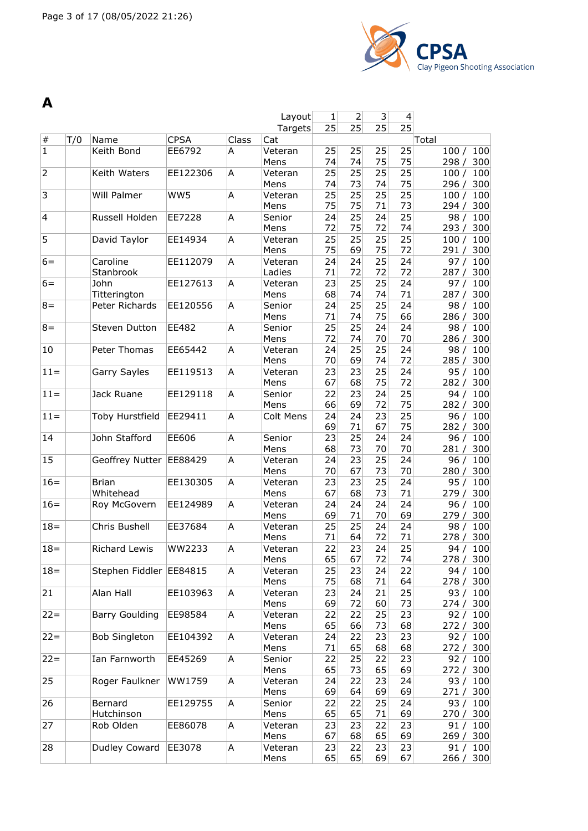

| A              |     |                         |             |       |                |          |                |                 |                          |                           |
|----------------|-----|-------------------------|-------------|-------|----------------|----------|----------------|-----------------|--------------------------|---------------------------|
|                |     |                         |             |       | Layout         | 1        | $\overline{2}$ | 3               | $\overline{\mathcal{L}}$ |                           |
|                |     |                         |             |       | Targets        | 25       | 25             | 25              | 25                       |                           |
| $\#$           | T/0 | Name                    | <b>CPSA</b> | Class | Cat            |          |                |                 |                          | Total                     |
| $\overline{1}$ |     | Keith Bond              | EE6792      | A     | Veteran        | 25       | 25             | 25              | 25                       | 100<br>100/               |
|                |     |                         |             |       | Mens           | 74       | 74             | 75              | 75                       | 298/<br>300               |
| $\overline{2}$ |     | Keith Waters            | EE122306    | A     | Veteran        | 25       | 25             | 25              | 25                       | 100<br>100/               |
|                |     |                         |             |       | Mens           | 74       | 73             | 74              | 75                       | 300<br>296/               |
| 3              |     | Will Palmer             | WW5         | A     | Veteran        | 25       | 25             | 25              | 25                       | 100<br>100/               |
|                |     |                         |             |       | Mens           | 75       | 75             | 71              | 73                       | 300<br>294/               |
| 4              |     | Russell Holden          | EE7228      | A     | Senior         | 24       | 25             | 24              | 25                       | 98/<br>100                |
|                |     |                         |             |       | Mens           | 72       | 75             | 72              | 74                       | 300<br>293/               |
| 5              |     | David Taylor            | EE14934     | A     | Veteran        | 25       | 25             | 25              | 25                       | 100<br>100/               |
|                |     |                         |             |       | Mens           | 75       | 69             | 75              | 72                       | 291 / 300                 |
| $6=$           |     | Caroline                | EE112079    | A     | Veteran        | 24       | 24             | 25              | 24                       | 97/<br>100                |
|                |     | Stanbrook               |             |       | Ladies         | 71       | 72             | 72              | 72                       | 300<br>287/               |
| $6 =$          |     | John                    | EE127613    | A     | Veteran        | 23       | 25             | $\overline{25}$ | 24                       | 100<br>97/                |
|                |     | Titterington            |             |       | Mens           | 68       | 74             | 74              | 71                       | 300<br>287/               |
| $8 =$          |     | Peter Richards          | EE120556    | Α     | Senior         | 24       | 25             | 25              | 24                       | 98/<br>100                |
|                |     |                         |             |       | Mens           | 71       | 74             | 75              | 66                       | 286/<br>300               |
| $8 =$          |     | Steven Dutton           | EE482       | A     | Senior<br>Mens | 25<br>72 | 25<br>74       | 24<br>70        | 24<br>70                 | 98/<br>100<br>300<br>286/ |
| 10             |     | Peter Thomas            | EE65442     | A     | Veteran        | 24       | 25             | 25              | 24                       | 100<br>98/                |
|                |     |                         |             |       | Mens           | 70       | 69             | 74              | 72                       | 285/<br>300               |
| $11 =$         |     | Garry Sayles            | EE119513    | A     | Veteran        | 23       | 23             | 25              | 24                       | 95/<br>100                |
|                |     |                         |             |       | Mens           | 67       | 68             | 75              | 72                       | 300<br>282/               |
| $11 =$         |     | Jack Ruane              | EE129118    | A     | Senior         | 22       | 23             | 24              | 25                       | 94/<br>100                |
|                |     |                         |             |       | Mens           | 66       | 69             | 72              | 75                       | 300<br>282 /              |
| $11 =$         |     | Toby Hurstfield         | EE29411     | A     | Colt Mens      | 24       | 24             | 23              | 25                       | 96/<br>100                |
|                |     |                         |             |       |                | 69       | 71             | 67              | 75                       | 300<br>282/               |
| 14             |     | John Stafford           | EE606       | A     | Senior         | 23       | 25             | 24              | 24                       | 100<br>96/                |
|                |     |                         |             |       | Mens           | 68       | 73             | 70              | 70                       | 300<br>281/               |
| 15             |     | Geoffrey Nutter         | EE88429     | A     | Veteran        | 24       | 23             | 25              | 24                       | 100<br>96/                |
|                |     |                         |             |       | Mens           | 70       | 67             | 73              | 70                       | 300<br>280/               |
| $16=$          |     | <b>Brian</b>            | EE130305    | Α     | Veteran        | 23       | 23             | 25              | 24                       | 100<br>95/                |
|                |     | Whitehead               |             |       | Mens           | 67       | 68             | 73              | 71                       | 300<br>279/               |
| $16=$          |     | Roy McGovern            | EE124989    | A     | Veteran        | 24       | 24             | 24              | 24                       | 100<br>96/                |
|                |     |                         |             |       | Mens           | 69       | 71             | 70              | 69                       | 300<br>279/               |
| $18 =$         |     | Chris Bushell           | EE37684     | A     | Veteran        | 25       | 25             | 24              | 24                       | 98/<br>100                |
|                |     |                         |             |       | Mens           | 71       | 64             | 72              | 71                       | 278 / 300                 |
| $18 =$         |     | Richard Lewis           | WW2233      | A     | Veteran        | 22       | 23             | 24              | 25                       | 94 / 100                  |
|                |     |                         |             |       | Mens           | 65       | 67             | 72              | 74                       | 278/<br>300               |
| $18 =$         |     | Stephen Fiddler EE84815 |             | A     | Veteran        | 25       | 23             | 24              | 22                       | 94 /<br>100               |
|                |     |                         |             |       | Mens           | 75       | 68             | 71              | 64                       | 278 / 300                 |
| 21             |     | Alan Hall               | EE103963    | A     | Veteran        | 23       | 24             | 21              | 25                       | 93/<br>100                |
|                |     |                         |             |       | Mens           | 69       | 72             | 60              | 73                       | 274/<br>300               |
| $22 =$         |     | <b>Barry Goulding</b>   | EE98584     | A     | Veteran        | 22       | 22             | 25              | 23                       | 92/<br>100                |
|                |     |                         |             |       | Mens           | 65       | 66             | 73              | 68                       | 272 /<br>300              |
| $22 =$         |     | <b>Bob Singleton</b>    | EE104392    | A     | Veteran        | 24       | 22             | 23              | 23                       | 92/<br>100                |
|                |     |                         |             |       | Mens           | 71       | 65             | 68              | 68                       | 300<br>272 /              |
| $22 =$         |     | Ian Farnworth           | EE45269     | A     | Senior         | 22       | 25             | 22              | 23                       | 92 / 100                  |
|                |     |                         |             |       | Mens           | 65       | 73             | 65              | 69                       | 272 / 300                 |
| 25             |     | Roger Faulkner          | WW1759      | A     | Veteran        | 24       | 22             | 23              | 24                       | 93/<br>100                |
|                |     |                         |             |       | Mens           | 69       | 64             | 69              | 69                       | 271/<br>300               |
| 26             |     | Bernard                 | EE129755    | A     | Senior         | 22       | 22             | 25              | 24                       | 93/<br>100                |
|                |     | Hutchinson              |             |       | Mens           | 65       | 65             | 71              | 69                       | 300<br>270 /              |
| 27             |     | Rob Olden               | EE86078     | A     | Veteran        | 23       | 23             | 22              | 23                       | 91 /<br>100               |
|                |     |                         |             |       | Mens           | 67       | 68             | 65              | 69                       | 269 / 300                 |
| 28             |     | Dudley Coward           | EE3078      | Α     | Veteran        | 23       | 22             | 23              | 23                       | 91 / 100                  |
|                |     |                         |             |       | Mens           | 65       | 65             | 69              | 67                       | 266 / 300                 |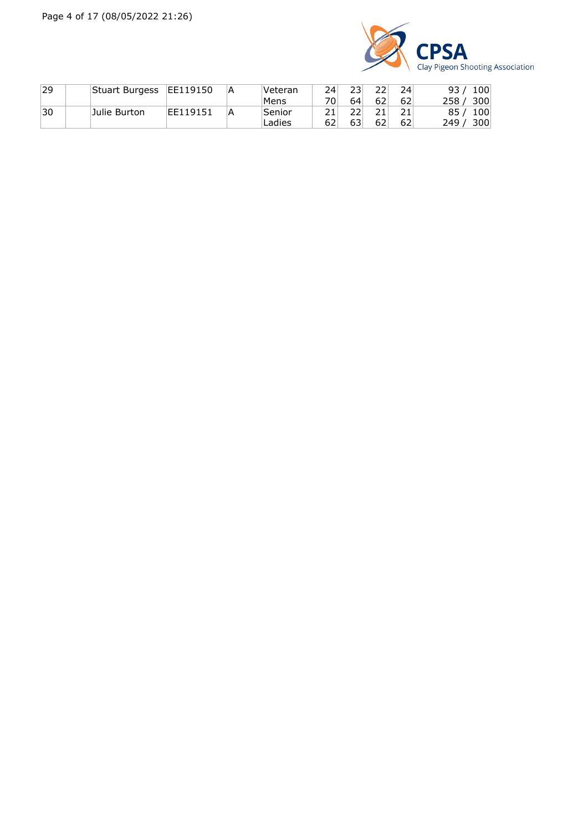

| 29 | Stuart Burgess | EE119150 | Α | Veteran | 24  | 231 |    | 24 | 100<br>93               |
|----|----------------|----------|---|---------|-----|-----|----|----|-------------------------|
|    |                |          |   | 'Mens   | ⊤0⊢ | 64  | 62 | 62 | 300<br>258              |
| 30 | Julie Burton   | EE119151 | А | Senior  |     | フフ  |    |    | 85<br>100               |
|    |                |          |   | Ladies  | 62  | 63  | 62 | 62 | 300 <sup>1</sup><br>249 |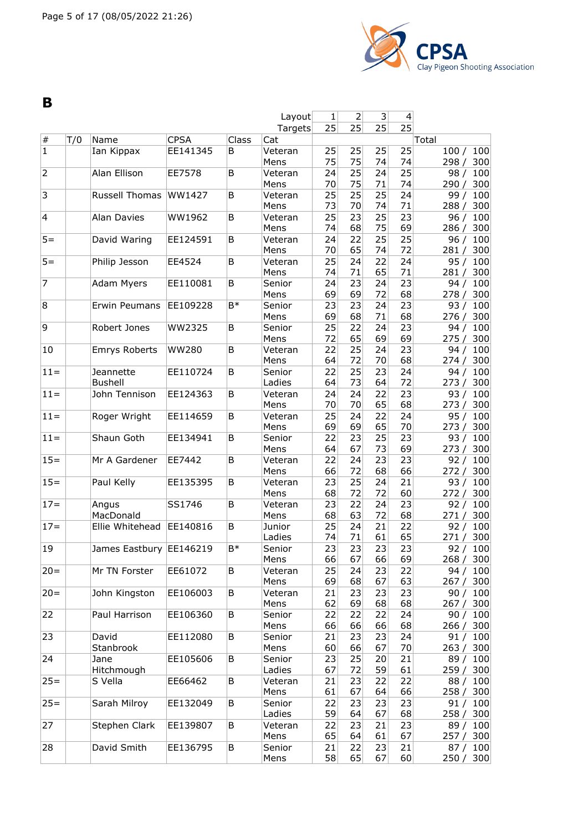

**B**

|                         |     |                         |              |       | Layout          | 1        | $\overline{2}$ | 3        | 4        |                           |
|-------------------------|-----|-------------------------|--------------|-------|-----------------|----------|----------------|----------|----------|---------------------------|
|                         |     |                         |              |       | Targets         | 25       | 25             | 25       | 25       |                           |
| $\#$                    | T/0 | Name                    | <b>CPSA</b>  | Class | Cat             |          |                |          |          | Total                     |
| $\mathbf 1$             |     | Ian Kippax              | EE141345     | B     | Veteran         | 25       | 25             | 25       | 25       | 100<br>100/               |
|                         |     |                         |              |       | Mens            | 75       | 75             | 74       | 74       | 298/<br>300               |
| $\overline{2}$          |     | Alan Ellison            | EE7578       | B     | Veteran         | 24       | 25             | 24       | 25       | 100<br>98/                |
|                         |     |                         |              |       | Mens            | 70       | 75             | 71       | 74       | 300<br>290/               |
| 3                       |     | Russell Thomas          | WW1427       | B     | Veteran         | 25       | 25             | 25       | 24       | 100<br>99/                |
|                         |     |                         |              |       | Mens            | 73       | 70             | 74       | 71       | 300<br>288/               |
| $\overline{\mathbf{4}}$ |     | <b>Alan Davies</b>      | WW1962       | B     | Veteran         | 25       | 23             | 25       | 23       | 100<br>96/                |
|                         |     | David Waring            |              |       | Mens            | 74       | 68<br>22       | 75       | 69<br>25 | 286 /<br>300              |
| $5 =$                   |     |                         | EE124591     | B     | Veteran<br>Mens | 24<br>70 | 65             | 25<br>74 | 72       | 96/<br>100<br>300<br>281/ |
| $5 =$                   |     | Philip Jesson           | EE4524       | B     | Veteran         | 25       | 24             | 22       | 24       | 100<br>95/                |
|                         |     |                         |              |       | Mens            | 74       | 71             | 65       | 71       | 300<br>281/               |
| $\overline{7}$          |     | Adam Myers              | EE110081     | B     | Senior          | 24       | 23             | 24       | 23       | 94/<br>100                |
|                         |     |                         |              |       | Mens            | 69       | 69             | 72       | 68       | 300<br>278/               |
| 8                       |     | Erwin Peumans           | EE109228     | B*    | Senior          | 23       | 23             | 24       | 23       | 93/<br>100                |
|                         |     |                         |              |       | Mens            | 69       | 68             | 71       | 68       | 300<br>276 /              |
| 9                       |     | Robert Jones            | WW2325       | B     | Senior          | 25       | 22             | 24       | 23       | 100<br>94/                |
|                         |     |                         |              |       | Mens            | 72       | 65             | 69       | 69       | 275/<br>300               |
| 10                      |     | Emrys Roberts           | <b>WW280</b> | B     | Veteran         | 22       | 25             | 24       | 23       | 100<br>94/                |
|                         |     |                         |              |       | Mens            | 64       | 72             | 70       | 68       | 300<br>274/               |
| $11 =$                  |     | Jeannette               | EE110724     | B     | Senior          | 22       | 25             | 23       | 24       | 94/<br>100                |
|                         |     | <b>Bushell</b>          |              |       | Ladies          | 64       | 73             | 64       | 72       | 300<br>273 /              |
| $11 =$                  |     | John Tennison           | EE124363     | B     | Veteran         | 24       | 24             | 22       | 23       | 100<br>93/                |
|                         |     |                         |              |       | Mens            | 70       | 70             | 65       | 68       | 300<br>273 /              |
| $11 =$                  |     | Roger Wright            | EE114659     | B     | Veteran         | 25       | 24             | 22       | 24       | 95/<br>100                |
|                         |     |                         |              |       | Mens            | 69       | 69             | 65       | 70       | 300<br>273/               |
| $11 =$                  |     | Shaun Goth              | EE134941     | B     | Senior          | 22       | 23             | 25       | 23       | 93/<br>100                |
|                         |     |                         |              |       | Mens            | 64       | 67             | 73       | 69       | 300<br>273/               |
| $15 =$                  |     | Mr A Gardener           | EE7442       | B     | Veteran         | 22       | 24             | 23       | 23       | 92/<br>100                |
|                         |     |                         |              |       | Mens            | 66       | 72             | 68       | 66       | 272/<br>300               |
| $15 =$                  |     | Paul Kelly              | EE135395     | B     | Veteran         | 23       | 25             | 24       | 21       | 100<br>93/                |
|                         |     |                         |              |       | Mens            | 68       | 72             | 72       | 60       | 300<br>272/               |
| $17 =$                  |     | Angus                   | SS1746       | B     | Veteran         | 23       | 22             | 24       | 23       | 100<br>92/                |
|                         |     | MacDonald               |              |       | Mens            | 68       | 63             | 72       | 68       | 300<br>271/               |
| $17 =$                  |     | Ellie Whitehead         | EE140816     | B     | Junior          | 25       | 24             | 21       | 22       | 92/<br>100                |
|                         |     |                         |              |       | Ladies          | 74       | 71             | 61       | 65       | 300<br>271 /              |
| 19                      |     | James Eastbury EE146219 |              | B*    | Senior          | 23       | 23             | 23       | 23       | 92/<br>100                |
|                         |     |                         |              |       | Mens            | 66       | 67             | 66       | 69       | 268 / 300                 |
| $20 =$                  |     | Mr TN Forster           | EE61072      | B     | Veteran         | 25       | 24             | 23       | 22       | 94/<br>100                |
|                         |     |                         |              |       | Mens            | 69       | 68             | 67       | 63       | 300<br>267/               |
| $20 =$                  |     | John Kingston           | EE106003     | B     | Veteran         | 21       | 23             | 23       | 23       | 90/<br>100                |
|                         |     |                         |              |       | Mens            | 62       | 69             | 68       | 68       | 267 / 300                 |
| 22                      |     | Paul Harrison           | EE106360     | B     | Senior          | 22       | 22             | 22       | 24       | 90/<br>100                |
|                         |     |                         |              |       | Mens            | 66       | 66             | 66       | 68       | 266/<br>300               |
| 23                      |     | David                   | EE112080     | В     | Senior          | 21       | 23             | 23       | 24       | 91 / 100                  |
|                         |     | Stanbrook               |              |       | Mens            | 60       | 66             | 67       | 70       | 263 / 300                 |
| 24                      |     | Jane                    | EE105606     | В     | Senior          | 23       | 25             | 20       | 21       | 89/<br>100                |
|                         |     | Hitchmough              |              |       | Ladies          | 67       | 72             | 59       | 61       | 259 /<br>300              |
| $25 =$                  |     | S Vella                 | EE66462      | B     | Veteran         | 21       | 23             | 22       | 22       | 88/<br>100                |
|                         |     |                         |              |       | Mens            | 61       | 67             | 64       | 66       | 300<br>258/               |
| $25 =$                  |     | Sarah Milroy            | EE132049     | В     | Senior          | 22       | 23             | 23       | 23       | 91/<br>100                |
|                         |     |                         |              |       | Ladies          | 59       | 64             | 67       | 68       | 258 / 300                 |
| 27                      |     | Stephen Clark           | EE139807     | В     | Veteran         | 22       | 23             | 21       | 23       | 89 / 100                  |
|                         |     |                         |              |       | Mens            | 65       | 64             | 61       | 67       | 257 / 300                 |
| 28                      |     | David Smith             | EE136795     | B     | Senior          | 21       | 22             | 23       | 21       | 87 / 100                  |
|                         |     |                         |              |       | Mens            | 58       | 65             | 67       | 60       | 250 / 300                 |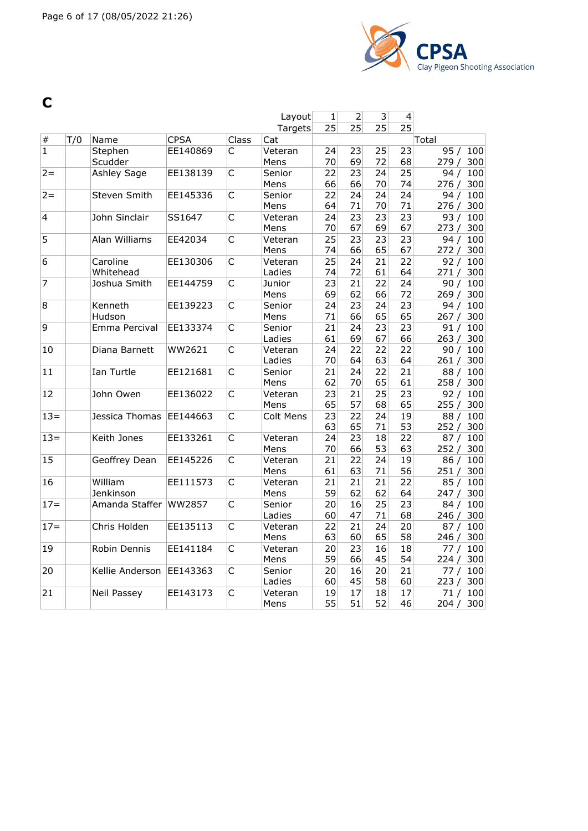

**C**

|                 |     |                   |             |                         | Layout            | $1\vert$        | $\overline{2}$  | $\overline{3}$  | $\overline{4}$  |                   |
|-----------------|-----|-------------------|-------------|-------------------------|-------------------|-----------------|-----------------|-----------------|-----------------|-------------------|
|                 |     |                   |             |                         | Targets           | 25              | 25              | $\overline{25}$ | $\overline{25}$ |                   |
| $\#$            | T/0 | Name              | <b>CPSA</b> | <b>Class</b>            | Cat               |                 |                 |                 |                 | Total             |
| $\overline{1}$  |     | Stephen           | EE140869    | C                       | Veteran           | 24              | 23              | 25              | 23              | 95 / 100          |
|                 |     | Scudder           |             |                         | Mens              | 70              | 69              | 72              | 68              | 279/<br>300       |
| $2 =$           |     | Ashley Sage       | EE138139    | С                       | Senior            | 22              | 23              | 24              | 25              | 94/<br>100        |
|                 |     |                   |             |                         | Mens              | 66              | 66              | 70              | 74              | 276/<br>300       |
| $2 =$           |     | Steven Smith      | EE145336    | C                       | Senior            | 22              | 24              | 24              | 24              | 100<br>94/        |
|                 |     |                   |             |                         | Mens              | 64              | 71              | 70              | 71              | 276/<br>300       |
| $\overline{4}$  |     | John Sinclair     | SS1647      | $\overline{C}$          | Veteran           | 24              | 23              | 23              | 23              | 93/<br>100        |
|                 |     |                   |             |                         | Mens              | 70              | 67              | 69              | 67              | 273/<br>300       |
| $\overline{5}$  |     | Alan Williams     | EE42034     | C                       | Veteran           | 25              | 23              | 23              | 23              | 94 / 100          |
|                 |     |                   |             |                         | Mens              | 74              | 66              | 65              | 67              | 272/<br>300       |
| 6               |     | Caroline          | EE130306    | $\overline{\mathsf{C}}$ | Veteran           | $\overline{25}$ | 24              | 21              | $\overline{22}$ | 92/<br>100        |
| $\overline{7}$  |     | Whitehead         |             |                         | Ladies            | 74              | 72              | 61              | 64              | 271 / 300         |
|                 |     | Joshua Smith      | EE144759    | $\overline{C}$          | Junior            | 23              | $\overline{21}$ | 22              | 24              | 100<br>90/        |
| 8               |     |                   |             |                         | Mens              | 69              | 62              | 66              | 72              | 269/<br>300       |
|                 |     | Kenneth<br>Hudson | EE139223    | C                       | Senior<br>Mens    | 24<br>71        | 23<br>66        | 24<br>65        | 23<br>65        | 94 / 100<br>267/  |
| 9               |     | Emma Percival     | EE133374    | C                       | Senior            |                 |                 | 23              | 23              | 300<br>91/<br>100 |
|                 |     |                   |             |                         | Ladies            | 21<br>61        | 24<br>69        | 67              | 66              | 263 / 300         |
| 10              |     | Diana Barnett     | WW2621      | C                       |                   | 24              | 22              | 22              | 22              | 100<br>90/        |
|                 |     |                   |             |                         | Veteran<br>Ladies | 70              | 64              | 63              | 64              | 261/<br>300       |
| 11              |     | Ian Turtle        | EE121681    | C                       | Senior            | 21              | 24              | 22              | 21              | 88/<br>100        |
|                 |     |                   |             |                         | Mens              | 62              | 70              | 65              | 61              | 258/<br>300       |
| 12              |     | John Owen         | EE136022    | C                       | Veteran           | 23              | 21              | 25              | 23              | 92/<br>100        |
|                 |     |                   |             |                         | Mens              | 65              | 57              | 68              | 65              | 255/<br>300       |
| $13 =$          |     | Jessica Thomas    | EE144663    | $\overline{\mathsf{C}}$ | Colt Mens         | 23              | $\overline{22}$ | 24              | 19              | 88/<br>100        |
|                 |     |                   |             |                         |                   | 63              | 65              | 71              | 53              | 300<br>252/       |
| $13 =$          |     | Keith Jones       | EE133261    | C                       | Veteran           | 24              | $\overline{23}$ | 18              | $\overline{22}$ | 87/<br>100        |
|                 |     |                   |             |                         | Mens              | 70              | 66              | 53              | 63              | 252/<br>300       |
| 15              |     | Geoffrey Dean     | EE145226    | C                       | Veteran           | 21              | 22              | 24              | 19              | 86 / 100          |
|                 |     |                   |             |                         | Mens              | 61              | 63              | 71              | 56              | 251/<br>300       |
| 16              |     | William           | EE111573    | C                       | Veteran           | 21              | 21              | 21              | 22              | 85/<br>100        |
|                 |     | Jenkinson         |             |                         | Mens              | 59              | 62              | 62              | 64              | 247 / 300         |
| $17=$           |     | Amanda Staffer    | WW2857      | C                       | Senior            | 20              | 16              | 25              | 23              | 100<br>84/        |
|                 |     |                   |             |                         | Ladies            | 60              | 47              | 71              | 68              | 246/<br>300       |
| $17=$           |     | Chris Holden      | EE135113    | C                       | Veteran           | 22              | 21              | 24              | 20              | 87/<br>100        |
|                 |     |                   |             |                         | Mens              | 63              | 60              | 65              | 58              | 246/<br>300       |
| 19              |     | Robin Dennis      | EE141184    | C                       | Veteran           | 20              | 23              | 16              | 18              | 100<br>77/        |
|                 |     |                   |             |                         | Mens              | 59              | 66              | 45              | 54              | 224 / 300         |
| $\overline{20}$ |     | Kellie Anderson   | EE143363    | C                       | Senior            | 20              | 16              | 20              | $\overline{21}$ | 77/<br>100        |
|                 |     |                   |             |                         | Ladies            | 60              | 45              | 58              | 60              | 223/<br>300       |
| 21              |     | Neil Passey       | EE143173    | $\overline{C}$          | Veteran           | 19              | 17              | 18              | 17              | 71/<br>100        |
|                 |     |                   |             |                         | Mens              | 55              | 51              | 52              | 46              | 204/<br>300       |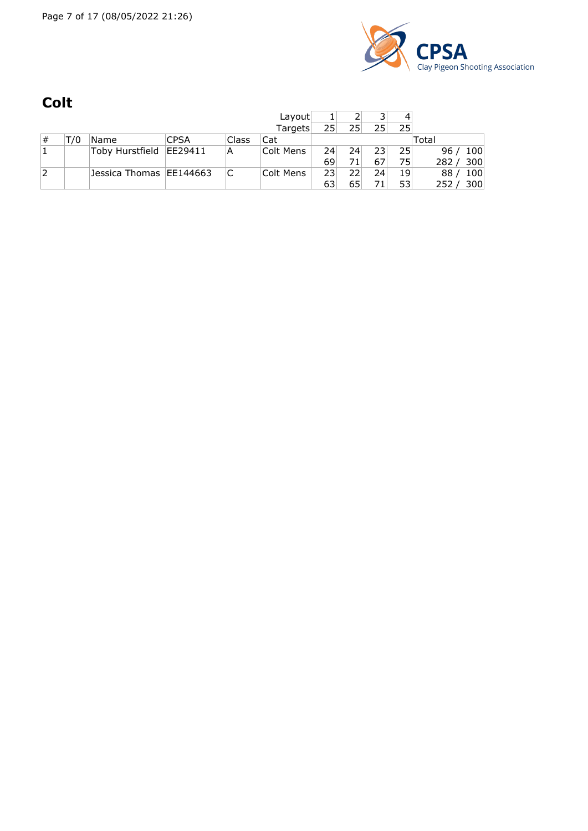

## **Colt**

|   |     |                           |             |       | Layout    |    |    | っ               |    |             |
|---|-----|---------------------------|-------------|-------|-----------|----|----|-----------------|----|-------------|
|   |     |                           |             |       | Targets   | 25 | 25 | 25 <sub>1</sub> | 25 |             |
| # | Т/0 | 'Name                     | <b>CPSA</b> | Class | Cat       |    |    |                 |    | Total       |
|   |     | Toby Hurstfield           | EE29411     | A     | Colt Mens | 24 | 24 | 23              | 25 | 100<br>96/  |
|   |     |                           |             |       |           | 69 |    | 67              | 75 | 282/<br>300 |
| 2 |     | Jessica Thomas   EE144663 |             |       | Colt Mens | 23 | 22 | 24              | 19 | 100<br>88   |
|   |     |                           |             |       |           | 63 | 65 |                 | 53 | 300<br>252  |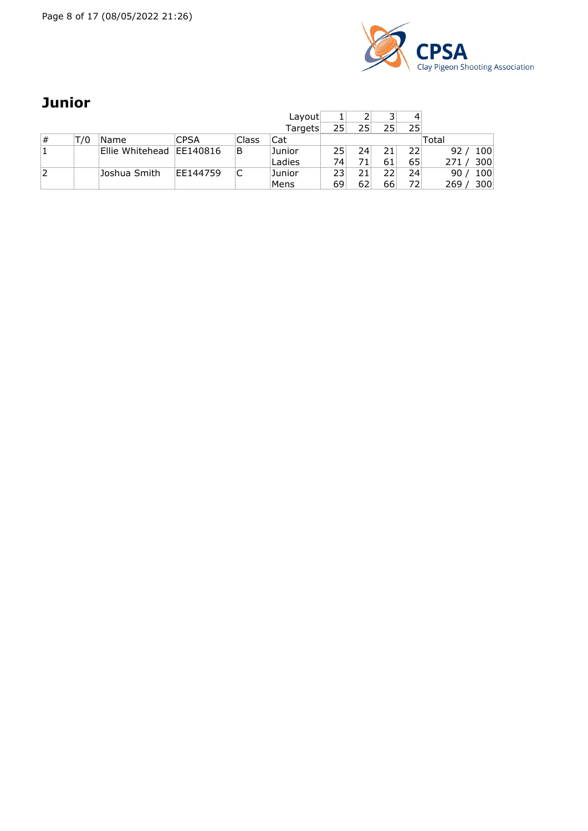Page 8 of 17 (08/05/2022 21:26)



### **Junior**

|   |     |                          |             |       | Layout  |    |    |    | 4  |             |
|---|-----|--------------------------|-------------|-------|---------|----|----|----|----|-------------|
|   |     |                          |             |       | Targets | 25 | 25 | 25 | 25 |             |
| # | Г/0 | Name                     | <b>CPSA</b> | Class | Cat     |    |    |    |    | Total       |
|   |     | Ellie Whitehead EE140816 |             | B     | Junior  | 25 | 24 | 21 | 22 | 100<br>92   |
|   |     |                          |             |       | Ladies  | 74 |    | 61 | 65 | 300<br>271/ |
| 2 |     | Joshua Smith             | EE144759    |       | Junior  | 23 |    |    | 24 | 100<br>90   |
|   |     |                          |             |       | Mens    | 69 |    | 66 | 72 | 300<br>269  |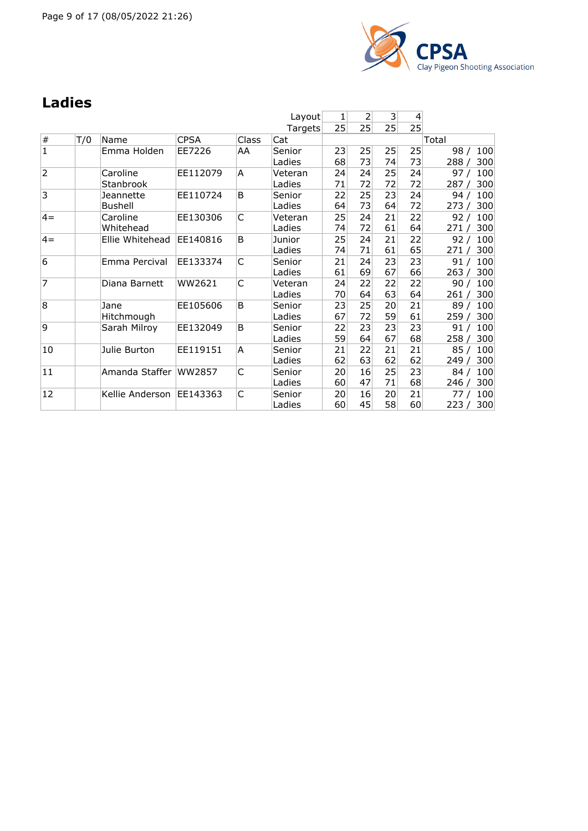

### **Ladies**

|                |     |                             |             |       | Layout            | 1        | 2        | 3               | 4        |                             |
|----------------|-----|-----------------------------|-------------|-------|-------------------|----------|----------|-----------------|----------|-----------------------------|
|                |     |                             |             |       | Targets           | 25       | 25       | 25 <sup>2</sup> | 25       |                             |
| $\#$           | T/0 | Name                        | <b>CPSA</b> | Class | Cat               |          |          |                 |          | Total                       |
| $\mathbf 1$    |     | Emma Holden                 | EE7226      | AA    | Senior<br>Ladies  | 23<br>68 | 25<br>73 | 25<br>74        | 25<br>73 | 98 /<br>100<br>300<br>288 / |
| $\overline{2}$ |     | Caroline<br>Stanbrook       | EE112079    | A     | Veteran<br>Ladies | 24<br>71 | 24<br>72 | 25<br>72        | 24<br>72 | 97/<br>100<br>300<br>287/   |
| 3              |     | Jeannette<br><b>Bushell</b> | EE110724    | B     | Senior<br>Ladies  | 22<br>64 | 25<br>73 | 23<br>64        | 24<br>72 | 100<br>94/<br>300<br>273/   |
| $4 =$          |     | Caroline<br>Whitehead       | EE130306    | C     | Veteran<br>Ladies | 25<br>74 | 24<br>72 | 21<br>61        | 22<br>64 | 92/<br>100<br>300<br>271/   |
| $4=$           |     | Ellie Whitehead             | EE140816    | B     | Junior<br>Ladies  | 25<br>74 | 24<br>71 | 21<br>61        | 22<br>65 | 100<br>92/<br>300<br>271/   |
| 6              |     | Emma Percival               | EE133374    | C     | Senior<br>Ladies  | 21<br>61 | 24<br>69 | 23<br>67        | 23<br>66 | 100<br>91/<br>263/<br>300   |
| 7              |     | Diana Barnett               | WW2621      | C     | Veteran<br>Ladies | 24<br>70 | 22<br>64 | 22<br>63        | 22<br>64 | 100<br>90/<br>300<br>261/   |
| 8              |     | Jane<br>Hitchmough          | EE105606    | B     | Senior<br>Ladies  | 23<br>67 | 25<br>72 | 20<br>59        | 21<br>61 | 100<br>89 /<br>259/<br>300  |
| 9              |     | Sarah Milroy                | EE132049    | B     | Senior<br>Ladies  | 22<br>59 | 23<br>64 | 23<br>67        | 23<br>68 | 100<br>91/<br>258 / 300     |
| 10             |     | Julie Burton                | EE119151    | A     | Senior<br>Ladies  | 21<br>62 | 22<br>63 | 21<br>62        | 21<br>62 | 85/<br>100<br>300<br>249/   |
| 11             |     | Amanda Staffer              | WW2857      | C     | Senior<br>Ladies  | 20<br>60 | 16<br>47 | 25<br>71        | 23<br>68 | 100<br>84/<br>246/<br>300   |
| 12             |     | Kellie Anderson             | EE143363    | C     | Senior<br>Ladies  | 20<br>60 | 16<br>45 | 20<br>58        | 21<br>60 | 100<br>77 /<br>223 / 300    |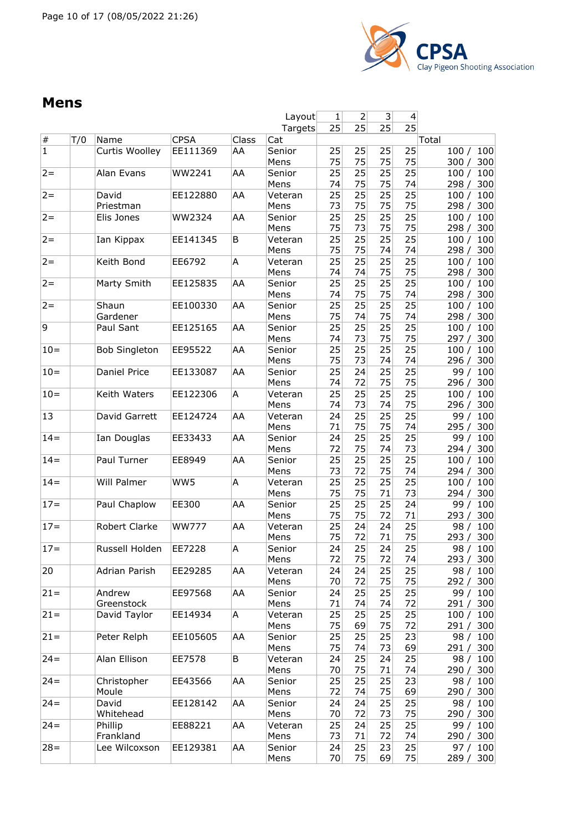

#### **Mens**

|                |     |                      |              |       | Layout  | 1  | 2  | $\vert 3 \vert$ | 4               |              |
|----------------|-----|----------------------|--------------|-------|---------|----|----|-----------------|-----------------|--------------|
|                |     |                      |              |       | Targets | 25 | 25 | 25              | 25              |              |
| $\#$           | T/0 | Name                 | <b>CPSA</b>  | Class | Cat     |    |    |                 |                 | Total        |
| $\overline{1}$ |     | Curtis Woolley       | EE111369     | AA    | Senior  | 25 | 25 | 25              | 25              | 100<br>100/  |
|                |     |                      |              |       | Mens    | 75 | 75 | 75              | 75              | 300<br>300/  |
| $2 =$          |     | Alan Evans           | WW2241       | AA    | Senior  | 25 | 25 | 25              | 25              | 100/<br>100  |
|                |     |                      |              |       | Mens    | 74 | 75 | 75              | 74              | 298 /<br>300 |
| $2 =$          |     | David                | EE122880     | AA    | Veteran | 25 | 25 | 25              | 25              | 100<br>100/  |
|                |     | Priestman            |              |       | Mens    | 73 | 75 | 75              | 75              | 300<br>298/  |
| $2 =$          |     |                      |              |       |         |    | 25 | 25              |                 |              |
|                |     | Elis Jones           | WW2324       | AA    | Senior  | 25 |    |                 | 25              | 100/<br>100  |
|                |     |                      |              |       | Mens    | 75 | 73 | 75              | 75              | 300<br>298/  |
| $2 =$          |     | Ian Kippax           | EE141345     | В     | Veteran | 25 | 25 | 25              | $\overline{25}$ | 100<br>100/  |
|                |     |                      |              |       | Mens    | 75 | 75 | 74              | 74              | 300<br>298 / |
| $2 =$          |     | Keith Bond           | EE6792       | Α     | Veteran | 25 | 25 | 25              | 25              | 100<br>100/  |
|                |     |                      |              |       | Mens    | 74 | 74 | 75              | 75              | 298 /<br>300 |
| $2 =$          |     | Marty Smith          | EE125835     | AA    | Senior  | 25 | 25 | 25              | $\overline{25}$ | 100<br>100/  |
|                |     |                      |              |       | Mens    | 74 | 75 | 75              | 74              | 300<br>298/  |
| $2 =$          |     | Shaun                | EE100330     | AA    | Senior  | 25 | 25 | 25              | 25              | 100<br>100/  |
|                |     | Gardener             |              |       | Mens    | 75 | 74 | 75              | 74              | 298/<br>300  |
| 9              |     | Paul Sant            | EE125165     | AA    | Senior  | 25 | 25 | 25              | 25              | 100<br>100/  |
|                |     |                      |              |       | Mens    | 74 | 73 | 75              | 75              | 300<br>297 / |
| $10 =$         |     | <b>Bob Singleton</b> | EE95522      | AA    | Senior  | 25 | 25 | 25              | 25              | 100<br>100/  |
|                |     |                      |              |       | Mens    | 75 | 73 | 74              | 74              | 296/<br>300  |
| $10 =$         |     | Daniel Price         | EE133087     | AA    | Senior  | 25 | 24 | 25              | 25              | 100<br>99/   |
|                |     |                      |              |       | Mens    | 74 | 72 | 75              | 75              | 300<br>296/  |
|                |     |                      |              |       |         |    |    |                 |                 |              |
| $10 =$         |     | Keith Waters         | EE122306     | Α     | Veteran | 25 | 25 | 25              | 25              | 100<br>100/  |
|                |     |                      |              |       | Mens    | 74 | 73 | 74              | 75              | 296 /<br>300 |
| 13             |     | David Garrett        | EE124724     | AA    | Veteran | 24 | 25 | 25              | 25              | 100<br>99/   |
|                |     |                      |              |       | Mens    | 71 | 75 | 75              | 74              | 300<br>295 / |
| $14 =$         |     | Ian Douglas          | EE33433      | AA    | Senior  | 24 | 25 | 25              | 25              | 100<br>99/   |
|                |     |                      |              |       | Mens    | 72 | 75 | 74              | 73              | 300<br>294/  |
| $14 =$         |     | Paul Turner          | EE8949       | AA    | Senior  | 25 | 25 | 25              | 25              | 100/<br>100  |
|                |     |                      |              |       | Mens    | 73 | 72 | 75              | 74              | 300<br>294/  |
| $14 =$         |     | Will Palmer          | WW5          | Α     | Veteran | 25 | 25 | 25              | 25              | 100<br>100/  |
|                |     |                      |              |       | Mens    | 75 | 75 | 71              | 73              | 300<br>294 / |
| $17 =$         |     | Paul Chaplow         | EE300        | AA    | Senior  | 25 | 25 | 25              | 24              | 99/<br>100   |
|                |     |                      |              |       | Mens    | 75 | 75 | 72              | 71              | 293/<br>300  |
| $17 =$         |     | Robert Clarke        | <b>WW777</b> | AA    | Veteran | 25 | 24 | 24              | 25              | 98/<br>100   |
|                |     |                      |              |       | Mens    | 75 | 72 | 71              | 75              | 300          |
|                |     |                      |              |       |         |    |    |                 |                 | 293/         |
| $17 =$         |     | Russell Holden       | EE7228       | Α     | Senior  | 24 | 25 | 24              | 25              | 98/<br>100   |
|                |     |                      |              |       | Mens    | 72 | 75 | 72              | 74              | 293 /<br>300 |
| 20             |     | <b>Adrian Parish</b> | EE29285      | AA    | Veteran | 24 | 24 | 25              | 25              | 100<br>98 /  |
|                |     |                      |              |       | Mens    | 70 | 72 | 75              | 75              | 300<br>292 / |
| $21 =$         |     | Andrew               | EE97568      | AA    | Senior  | 24 | 25 | 25              | 25              | 99/<br>100   |
|                |     | Greenstock           |              |       | Mens    | 71 | 74 | 74              | 72              | 291/<br>300  |
| $21 =$         |     | David Taylor         | EE14934      | A     | Veteran | 25 | 25 | 25              | 25              | 100<br>100/  |
|                |     |                      |              |       | Mens    | 75 | 69 | 75              | 72              | 300<br>291/  |
| $21 =$         |     | Peter Relph          | EE105605     | AA    | Senior  | 25 | 25 | 25              | 23              | 98/<br>100   |
|                |     |                      |              |       | Mens    | 75 | 74 | 73              | 69              | 300<br>291 / |
| $24 =$         |     | Alan Ellison         | EE7578       | В     | Veteran | 24 | 25 | 24              | 25              | 98/<br>100   |
|                |     |                      |              |       | Mens    | 70 | 75 | 71              | 74              | 300<br>290 / |
| $24 =$         |     |                      |              |       |         | 25 | 25 | 25              | 23              | 100          |
|                |     | Christopher          | EE43566      | AA    | Senior  |    |    |                 |                 | 98/          |
|                |     | Moule                |              |       | Mens    | 72 | 74 | 75              | 69              | 300<br>290/  |
| $24 =$         |     | David                | EE128142     | AA    | Senior  | 24 | 24 | 25              | 25              | 98/<br>100   |
|                |     | Whitehead            |              |       | Mens    | 70 | 72 | 73              | 75              | 290 /<br>300 |
| $24 =$         |     | Phillip              | EE88221      | AA    | Veteran | 25 | 24 | 25              | 25              | 99 /<br>100  |
|                |     | Frankland            |              |       | Mens    | 73 | 71 | 72              | 74              | 290 / 300    |
| $28 =$         |     | Lee Wilcoxson        | EE129381     | AA    | Senior  | 24 | 25 | 23              | 25              | 97/<br>100   |
|                |     |                      |              |       | Mens    | 70 | 75 | 69              | 75              | 289 /<br>300 |
|                |     |                      |              |       |         |    |    |                 |                 |              |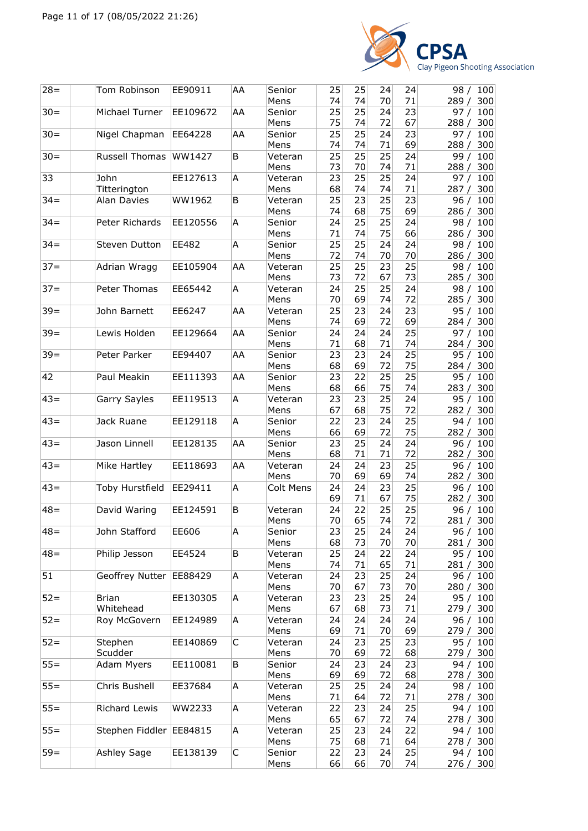

| $28 =$ | Tom Robinson            | EE90911  | AA | Senior<br>Mens   | 25<br>74 | 25<br>74 | 24<br>70 | 24<br>71 | 98 /<br>100<br>289/<br>300  |
|--------|-------------------------|----------|----|------------------|----------|----------|----------|----------|-----------------------------|
| $30 =$ | Michael Turner          | EE109672 | AA | Senior           | 25<br>75 | 25<br>74 | 24<br>72 | 23<br>67 | 97/<br>100                  |
| $30 =$ | Nigel Chapman           | EE64228  | AA | Mens<br>Senior   | 25       | 25       | 24       | 23       | 288/<br>300<br>100<br>97/   |
| $30 =$ | Russell Thomas          | WW1427   | B  | Mens<br>Veteran  | 74<br>25 | 74<br>25 | 71<br>25 | 69<br>24 | 288/<br>300<br>99 /<br>100  |
| 33     | John                    | EE127613 | A  | Mens<br>Veteran  | 73<br>23 | 70<br>25 | 74<br>25 | 71<br>24 | 288 /<br>300<br>97 /<br>100 |
|        | Titterington            |          |    | Mens             | 68       | 74       | 74       | 71       | 287 / 300                   |
| $34 =$ | Alan Davies             | WW1962   | B  | Veteran<br>Mens  | 25<br>74 | 23<br>68 | 25<br>75 | 23<br>69 | 96/<br>100<br>286/<br>300   |
| $34 =$ | Peter Richards          | EE120556 | A  | Senior<br>Mens   | 24<br>71 | 25<br>74 | 25<br>75 | 24<br>66 | 100<br>98 /<br>300<br>286/  |
| $34 =$ | Steven Dutton           | EE482    | A  | Senior<br>Mens   | 25<br>72 | 25<br>74 | 24<br>70 | 24<br>70 | 98 /<br>100<br>300<br>286 / |
| $37 =$ | Adrian Wragg            | EE105904 | AA | Veteran          | 25       | 25       | 23       | 25       | 98 /<br>100                 |
| $37 =$ | Peter Thomas            | EE65442  | Α  | Mens<br>Veteran  | 73<br>24 | 72<br>25 | 67<br>25 | 73<br>24 | 285/<br>300<br>98 /<br>100  |
|        |                         |          |    | Mens             | 70       | 69       | 74       | 72       | 285/<br>300                 |
| $39 =$ | John Barnett            | EE6247   | AA | Veteran          | 25       | 23       | 24       | 23       | 95/<br>100                  |
|        |                         |          |    | Mens             | 74       | 69       | 72       | 69       | 284/<br>300                 |
| $39 =$ | Lewis Holden            | EE129664 | AA | Senior           | 24       | 24       | 24       | 25       | 97/<br>100                  |
|        |                         |          |    | Mens             | 71       | 68       | 71       | 74       | 284 /<br>300                |
| $39 =$ | Peter Parker            | EE94407  | AA | Senior<br>Mens   | 23<br>68 | 23<br>69 | 24<br>72 | 25<br>75 | 95 /<br>100<br>300<br>284 / |
| 42     | Paul Meakin             | EE111393 | AA | Senior           | 23       | 22       | 25       | 25       | 95/<br>100                  |
|        |                         |          |    | Mens             | 68       | 66       | 75       | 74       | 283/<br>300                 |
| $43=$  | Garry Sayles            | EE119513 | Α  | Veteran          | 23       | 23       | 25       | 24       | 95/<br>100                  |
|        |                         |          |    | Mens             | 67       | 68       | 75       | 72       | 282/<br>300                 |
| $43=$  | Jack Ruane              | EE129118 | Α  | Senior           | 22       | 23       | 24       | 25       | 94 /<br>100                 |
| $43=$  | Jason Linnell           | EE128135 | AA | Mens<br>Senior   | 66<br>23 | 69<br>25 | 72<br>24 | 75<br>24 | 282 / 300                   |
|        |                         |          |    | Mens             | 68       | 71       | 71       | 72       | 96 /<br>100<br>300<br>282/  |
| $43=$  | Mike Hartley            | EE118693 | AA | Veteran          | 24       | 24       | 23       | 25       | 96/<br>100                  |
|        |                         |          |    | Mens             | 70       | 69       | 69       | 74       | 282/<br>300                 |
| $43=$  | Toby Hurstfield         | EE29411  | A  | <b>Colt Mens</b> | 24<br>69 | 24<br>71 | 23<br>67 | 25<br>75 | 100<br>96 /<br>282/<br>300  |
| $48 =$ | David Waring            | EE124591 | B  | Veteran<br>Mens  | 24<br>70 | 22<br>65 | 25<br>74 | 25<br>72 | 96 /<br>100<br>300<br>281 / |
| $48 =$ | John Stafford           | EE606    | A  | Senior           | 23       | 25       | 24       | 24       | 96 / 100                    |
|        |                         |          |    | Mens             | 68       | 73       | 70       | 70       | 281/<br>300                 |
| $48 =$ | Philip Jesson           | EE4524   | B  | Veteran          | 25       | 24       | 22       | 24       | 95/<br>100                  |
|        |                         |          |    | Mens             | 74       | 71       | 65       | 71       | 281/<br>300                 |
| 51     | Geoffrey Nutter         | EE88429  | A  | Veteran<br>Mens  | 24<br>70 | 23<br>67 | 25<br>73 | 24<br>70 | 96 /<br>100<br>300<br>280 / |
| $52 =$ | <b>Brian</b>            | EE130305 | A  | Veteran          | 23       | 23       | 25       | 24       | 95/<br>100                  |
|        | Whitehead               |          |    | Mens             | 67       | 68       | 73       | 71       | 279 /<br>300                |
| $52 =$ | Roy McGovern            | EE124989 | Α  | Veteran          | 24       | 24       | 24       | 24       | 96/<br>100                  |
| $52 =$ | Stephen                 | EE140869 | C  | Mens<br>Veteran  | 69<br>24 | 71<br>23 | 70<br>25 | 69<br>23 | 279 /<br>300<br>95/<br>100  |
|        | Scudder                 |          |    | Mens             | 70       | 69       | 72       | 68       | 300<br>279 /                |
| $55=$  | Adam Myers              | EE110081 | B  | Senior           | 24       | 23       | 24       | 23       | 100<br>94 /                 |
|        |                         |          |    | Mens             | 69       | 69       | 72       | 68       | 278 / 300                   |
| $55 =$ | Chris Bushell           | EE37684  | Α  | Veteran          | 25       | 25       | 24       | 24       | 98 /<br>100                 |
| $55 =$ | Richard Lewis           | WW2233   | A  | Mens<br>Veteran  | 71<br>22 | 64<br>23 | 72<br>24 | 71<br>25 | 300<br>278 /<br>100<br>94 / |
|        |                         |          |    | Mens             | 65       | 67       | 72       | 74       | 278/<br>300                 |
| $55 =$ | Stephen Fiddler EE84815 |          | A  | Veteran          | 25       | 23       | 24       | 22       | 94 /<br>100                 |
|        |                         |          |    | Mens             | 75       | 68       | 71       | 64       | 278 / 300                   |
| $59 =$ | Ashley Sage             | EE138139 | С  | Senior           | 22       | 23       | 24       | 25       | 94 / 100                    |
|        |                         |          |    | Mens             | 66       | 66       | 70       | 74       | 276 / 300                   |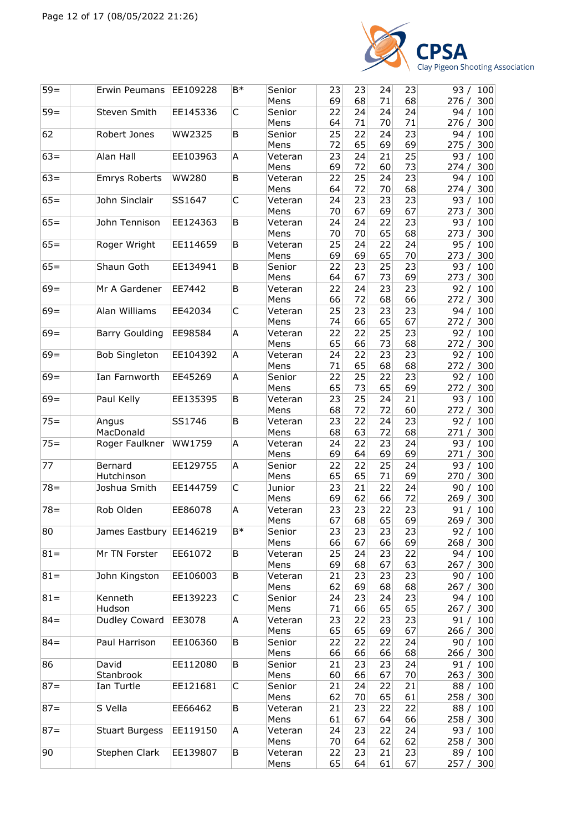

| $59 =$ | Erwin Peumans           | EE109228     | B*   | Senior<br>Mens  | 23<br>69 | 23<br>68 | 24<br>71 | 23<br>68 | 93 / 100<br>300<br>276/    |
|--------|-------------------------|--------------|------|-----------------|----------|----------|----------|----------|----------------------------|
| $59 =$ | Steven Smith            | EE145336     | C    | Senior<br>Mens  | 22<br>64 | 24<br>71 | 24<br>70 | 24<br>71 | 94/<br>100<br>276/<br>300  |
| 62     | Robert Jones            | WW2325       | B    | Senior          | 25       | 22       | 24       | 23       | 94/<br>100                 |
| $63=$  | Alan Hall               | EE103963     | Α    | Mens<br>Veteran | 72<br>23 | 65<br>24 | 69<br>21 | 69<br>25 | 275/<br>300<br>93/<br>100  |
| $63=$  | <b>Emrys Roberts</b>    | <b>WW280</b> | B    | Mens<br>Veteran | 69<br>22 | 72<br>25 | 60<br>24 | 73<br>23 | 274/<br>300<br>94 /<br>100 |
|        |                         |              |      | Mens            | 64       | 72       | 70       | 68       | 300<br>274 /               |
| $65=$  | John Sinclair           | SS1647       | C    | Veteran<br>Mens | 24<br>70 | 23<br>67 | 23<br>69 | 23<br>67 | 93/<br>100<br>273/<br>300  |
| $65=$  | John Tennison           | EE124363     | B    | Veteran<br>Mens | 24<br>70 | 24<br>70 | 22<br>65 | 23<br>68 | 93/<br>100<br>273/<br>300  |
| $65=$  | Roger Wright            | EE114659     | B    | Veteran<br>Mens | 25<br>69 | 24<br>69 | 22<br>65 | 24<br>70 | 95 /<br>100<br>273 / 300   |
| $65=$  | Shaun Goth              | EE134941     | B    | Senior<br>Mens  | 22<br>64 | 23<br>67 | 25<br>73 | 23<br>69 | 93/<br>100<br>273/<br>300  |
| $69=$  | Mr A Gardener           | EE7442       | B    | Veteran         | 22       | 24       | 23       | 23       | 92/<br>100                 |
|        |                         |              |      | Mens            | 66       | 72       | 68       | 66       | 272/<br>300                |
| $69=$  | Alan Williams           | EE42034      | C    | Veteran         | 25       | 23       | 23       | 23       | 94/<br>100                 |
| $69=$  | <b>Barry Goulding</b>   | EE98584      | Α    | Mens            | 74<br>22 | 66<br>22 | 65<br>25 | 67<br>23 | 272/<br>300<br>92/         |
|        |                         |              |      | Veteran<br>Mens | 65       | 66       | 73       | 68       | 100<br>272 / 300           |
| $69 =$ | <b>Bob Singleton</b>    | EE104392     | Α    | Veteran         | 24       | 22       | 23       | 23       | 92/<br>100                 |
|        |                         |              |      | Mens            | 71       | 65       | 68       | 68       | 272/<br>300                |
| $69=$  | Ian Farnworth           | EE45269      | Α    | Senior          | 22       | 25       | 22       | 23       | 92/<br>100                 |
| $69=$  |                         |              | B    | Mens            | 65<br>23 | 73<br>25 | 65<br>24 | 69<br>21 | 272/<br>300                |
|        | Paul Kelly              | EE135395     |      | Veteran<br>Mens | 68       | 72       | 72       | 60       | 93/<br>100<br>272 /<br>300 |
| $75 =$ | Angus                   | SS1746       | B    | Veteran         | 23       | 22       | 24       | 23       | 92 /<br>100                |
|        | MacDonald               |              |      | Mens            | 68       | 63       | 72       | 68       | 300<br>271 /               |
| $75 =$ | Roger Faulkner          | WW1759       | Α    | Veteran<br>Mens | 24<br>69 | 22<br>64 | 23<br>69 | 24<br>69 | 93/<br>100<br>300<br>271/  |
| 77     | Bernard                 | EE129755     | А    | Senior          | 22       | 22       | 25       | 24       | 93/<br>100                 |
|        | Hutchinson              |              |      | Mens            | 65       | 65       | 71       | 69       | 270/<br>300                |
| $78 =$ | Joshua Smith            | EE144759     | C    | Junior          | 23       | 21       | 22       | 24       | 100<br>90/                 |
|        |                         | EE86078      |      | Mens            | 69       | 62       | 66       | 72       | 269/<br>300                |
| $78 =$ | Rob Olden               |              | Α    | Veteran<br>Mens | 23<br>67 | 23<br>68 | 22<br>65 | 23<br>69 | 100<br>91 /<br>269/<br>300 |
| 80     | James Eastbury EE146219 |              | $B*$ | Senior          | 23       | 23       | 23       | 23       | 92 / 100                   |
|        |                         |              |      | Mens            | 66       | 67       | 66       | 69       | 268/<br>300                |
| $81 =$ | Mr TN Forster           | EE61072      | B    | Veteran         | 25       | 24       | 23       | 22       | 94/<br>100                 |
|        |                         |              |      | Mens            | 69       | 68       | 67       | 63       | 267 / 300                  |
| $81 =$ | John Kingston           | EE106003     | B    | Veteran<br>Mens | 21<br>62 | 23<br>69 | 23<br>68 | 23<br>68 | 90/<br>100<br>267 /<br>300 |
| $81 =$ | Kenneth                 | EE139223     | С    | Senior          | 24       | 23       | 24       | 23       | 94 / 100                   |
|        | Hudson                  |              |      | Mens            | 71       | 66       | 65       | 65       | 300<br>267 /               |
| $84 =$ | Dudley Coward           | EE3078       | Α    | Veteran         | 23       | 22       | 23       | 23       | 91/<br>100                 |
|        |                         |              |      | Mens            | 65       | 65       | 69       | 67       | 266/<br>300                |
| $84 =$ | Paul Harrison           | EE106360     | B    | Senior<br>Mens  | 22<br>66 | 22<br>66 | 22<br>66 | 24<br>68 | 100<br>90/<br>266 / 300    |
| 86     | David                   | EE112080     | В    | Senior          | 21       | 23       | 23       | 24       | 91 / 100                   |
|        | Stanbrook               |              |      | Mens            | 60       | 66       | 67       | 70       | 263 / 300                  |
| $87 =$ | Ian Turtle              | EE121681     | С    | Senior          | 21       | 24       | 22       | 21       | 88 / 100                   |
| $87 =$ | S Vella                 | EE66462      | В    | Mens<br>Veteran | 62<br>21 | 70<br>23 | 65<br>22 | 61<br>22 | 258 /<br>300<br>88/<br>100 |
|        |                         |              |      | Mens            | 61       | 67       | 64       | 66       | 258 / 300                  |
| $87 =$ | <b>Stuart Burgess</b>   | EE119150     | Α    | Veteran         | 24       | 23       | 22       | 24       | 93/<br>100                 |
|        |                         |              |      | Mens            | 70       | 64       | 62       | 62       | 258 /<br>300               |
| 90     | Stephen Clark           | EE139807     | B    | Veteran<br>Mens | 22<br>65 | 23<br>64 | 21<br>61 | 23<br>67 | 89 / 100<br>257 / 300      |
|        |                         |              |      |                 |          |          |          |          |                            |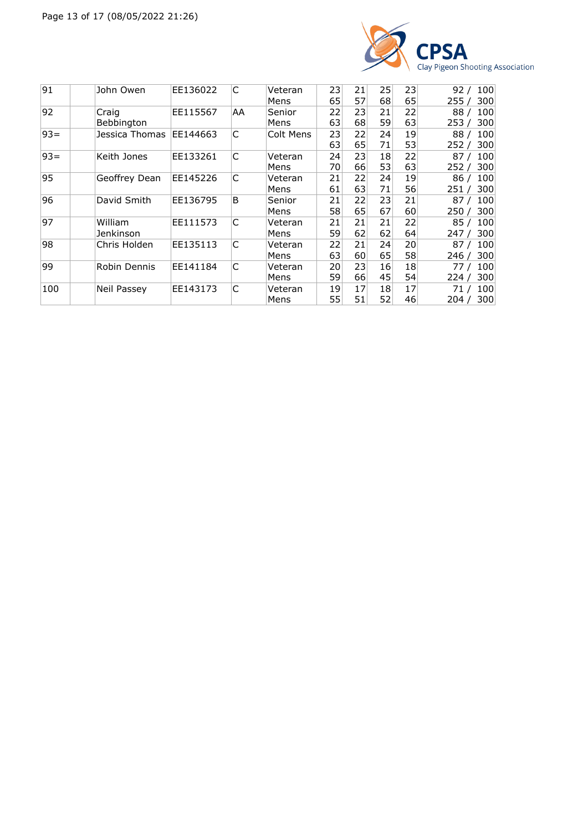

| 91     | John Owen      | EE136022 | C  | Veteran   | 23 | 21 | 25 | 23 | 100<br>92/   |
|--------|----------------|----------|----|-----------|----|----|----|----|--------------|
|        |                |          |    | Mens      | 65 | 57 | 68 | 65 | 300<br>255   |
| 92     | Craig          | EE115567 | AA | Senior    | 22 | 23 | 21 | 22 | 88<br>100    |
|        | Bebbington     |          |    | Mens      | 63 | 68 | 59 | 63 | 300<br>253 / |
| $93 =$ | Jessica Thomas | EE144663 | C  | Colt Mens | 23 | 22 | 24 | 19 | 100<br>88/   |
|        |                |          |    |           | 63 | 65 | 71 | 53 | 300<br>252/  |
| $93 =$ | Keith Jones    | EE133261 | C  | Veteran   | 24 | 23 | 18 | 22 | 100<br>87    |
|        |                |          |    | Mens      | 70 | 66 | 53 | 63 | 300<br>252   |
| 95     | Geoffrey Dean  | EE145226 | C  | Veteran   | 21 | 22 | 24 | 19 | 100<br>86/   |
|        |                |          |    | Mens      | 61 | 63 | 71 | 56 | 300<br>251 / |
| 96     | David Smith    | EE136795 | B  | Senior    | 21 | 22 | 23 | 21 | 100<br>87/   |
|        |                |          |    | Mens      | 58 | 65 | 67 | 60 | 300<br>250 / |
| 97     | William        | EE111573 | C  | Veteran   | 21 | 21 | 21 | 22 | 100<br>85/   |
|        | Jenkinson      |          |    | Mens      | 59 | 62 | 62 | 64 | 300<br>247   |
| 98     | Chris Holden   | EE135113 | C  | Veteran   | 22 | 21 | 24 | 20 | 100<br>87/   |
|        |                |          |    | Mens      | 63 | 60 | 65 | 58 | 300<br>246 / |
| 99     | Robin Dennis   | EE141184 | C  | Veteran   | 20 | 23 | 16 | 18 | 100<br>77    |
|        |                |          |    | Mens      | 59 | 66 | 45 | 54 | 300<br>224/  |
| 100    | Neil Passey    | EE143173 | C  | Veteran   | 19 | 17 | 18 | 17 | 100<br>71 /  |
|        |                |          |    | Mens      | 55 | 51 | 52 | 46 | 300<br>، 204 |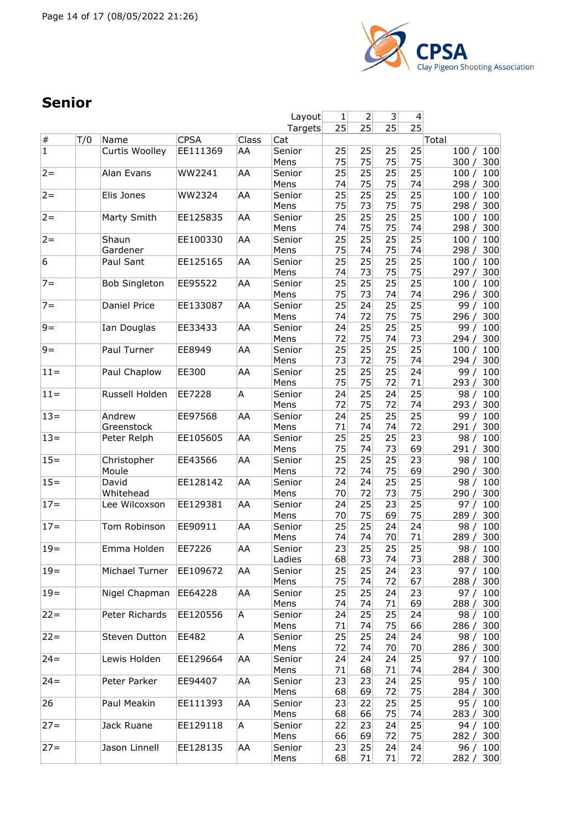

## **Senior**

|                |     |                      |             |       | Layout  | 1  | $\overline{2}$  | 3 <sup>2</sup>  | 4               |               |
|----------------|-----|----------------------|-------------|-------|---------|----|-----------------|-----------------|-----------------|---------------|
|                |     |                      |             |       | Targets | 25 | 25              | 25              | $\overline{25}$ |               |
| $\#$           | T/0 | Name                 | <b>CPSA</b> | Class | Cat     |    |                 |                 |                 | Total         |
| $\overline{1}$ |     | Curtis Woolley       | EE111369    | AA    | Senior  | 25 | 25              | 25              | 25              | 100<br>100/   |
|                |     |                      |             |       | Mens    | 75 | 75              | 75              | 75              | 300 / 300     |
| $2 =$          |     | Alan Evans           | WW2241      | AA    | Senior  | 25 | 25              | 25              | 25              | 100 / 100     |
|                |     |                      |             |       | Mens    | 74 | 75              | 75              | 74              | 298 / 300     |
|                |     |                      |             |       |         |    |                 |                 |                 |               |
| $2 =$          |     | Elis Jones           | WW2324      | AA    | Senior  | 25 | 25              | 25              | 25              | 100<br>100/   |
|                |     |                      |             |       | Mens    | 75 | 73              | 75              | 75              | 298/<br>300   |
| $2 =$          |     | Marty Smith          | EE125835    | AA    | Senior  | 25 | 25              | 25              | 25              | 100/<br>100   |
|                |     |                      |             |       | Mens    | 74 | 75              | 75              | 74              | 298 / 300     |
| $2 =$          |     | Shaun                | EE100330    | AA    | Senior  | 25 | 25              | 25              | 25              | 100 / 100     |
|                |     | Gardener             |             |       | Mens    | 75 | 74              | 75              | 74              | 298 / 300     |
| 6              |     | Paul Sant            | EE125165    | AA    | Senior  | 25 | 25              | 25              | 25              | 100 / 100     |
|                |     |                      |             |       | Mens    | 74 | 73              | 75              | 75              | 297 / 300     |
| $7 =$          |     |                      | EE95522     | AA    |         | 25 | 25              | $\overline{25}$ | 25              | 100 / 100     |
|                |     | <b>Bob Singleton</b> |             |       | Senior  |    |                 |                 |                 |               |
|                |     |                      |             |       | Mens    | 75 | 73              | 74              | 74              | 296 / 300     |
| $7 =$          |     | Daniel Price         | EE133087    | AA    | Senior  | 25 | 24              | 25              | 25              | 99/<br>100    |
|                |     |                      |             |       | Mens    | 74 | 72              | 75              | 75              | 296 / 300     |
| $9=$           |     | Ian Douglas          | EE33433     | AA    | Senior  | 24 | 25              | 25              | 25              | 99 / 100      |
|                |     |                      |             |       | Mens    | 72 | 75              | 74              | 73              | 294 / 300     |
| $9=$           |     | Paul Turner          | EE8949      | AA    | Senior  | 25 | 25              | 25              | 25              | 100 / 100     |
|                |     |                      |             |       | Mens    | 73 | 72              | 75              | 74              | 294/<br>300   |
|                |     | Paul Chaplow         | EE300       |       |         | 25 | $\overline{25}$ | $\overline{25}$ | 24              |               |
| $11 =$         |     |                      |             | AA    | Senior  |    |                 |                 |                 | 99/<br>100    |
|                |     |                      |             |       | Mens    | 75 | 75              | 72              | 71              | 293 / 300     |
| $11 =$         |     | Russell Holden       | EE7228      | A     | Senior  | 24 | 25              | 24              | 25              | 98 / 100      |
|                |     |                      |             |       | Mens    | 72 | 75              | 72              | 74              | 293 / 300     |
| $13=$          |     | Andrew               | EE97568     | AA    | Senior  | 24 | 25              | 25              | 25              | 99 / 100      |
|                |     | Greenstock           |             |       | Mens    | 71 | 74              | 74              | 72              | 291 / 300     |
| $13 =$         |     | Peter Relph          | EE105605    | AA    | Senior  | 25 | 25              | 25              | $\overline{23}$ | 100<br>98/    |
|                |     |                      |             |       | Mens    | 75 | 74              | 73              | 69              | 291/<br>300   |
|                |     |                      |             |       |         |    | $\overline{25}$ | $\overline{25}$ |                 |               |
| $15 =$         |     | Christopher          | EE43566     | AA    | Senior  | 25 |                 |                 | 23              | 98/<br>100    |
|                |     | Moule                |             |       | Mens    | 72 | 74              | 75              | 69              | 290 / 300     |
| $15 =$         |     | David                | EE128142    | AA    | Senior  | 24 | 24              | 25              | 25              | 98 / 100      |
|                |     | Whitehead            |             |       | Mens    | 70 | 72              | 73              | 75              | 290 / 300     |
| $17 =$         |     | Lee Wilcoxson        | EE129381    | AA    | Senior  | 24 | 25              | 23              | 25              | 97 $/$<br>100 |
|                |     |                      |             |       | Mens    | 70 | 75              | 69              | 75              | 289/<br>300   |
| $17 =$         |     | Tom Robinson         | EE90911     | AA    | Senior  | 25 | 25              | 24              | 24              | 98/<br>100    |
|                |     |                      |             |       | Mens    | 74 | 74              | 70              | 71              | 289/<br>300   |
|                |     |                      |             |       |         | 23 | 25              | 25              | 25              |               |
| $19=$          |     | Emma Holden          | EE7226      | AA    | Senior  |    |                 |                 |                 | 98 / 100      |
|                |     |                      |             |       | Ladies  | 68 | 73              | 74              | 73              | 288 / 300     |
| $19 =$         |     | Michael Turner       | EE109672    | AA    | Senior  | 25 | 25              | 24              | 23              | 97 / 100      |
|                |     |                      |             |       | Mens    | 75 | 74              | 72              | 67              | 288 / 300     |
| $19 =$         |     | Nigel Chapman        | EE64228     | AA    | Senior  | 25 | 25              | 24              | 23              | 97 / 100      |
|                |     |                      |             |       | Mens    | 74 | 74              | 71              | 69              | 288/<br>300   |
| $22 =$         |     | Peter Richards       | EE120556    | A     | Senior  | 24 | 25              | 25              | 24              | 98 / 100      |
|                |     |                      |             |       | Mens    | 71 | 74              | 75              | 66              | 286 / 300     |
| $22 =$         |     |                      |             | A     |         |    |                 |                 |                 |               |
|                |     | Steven Dutton        | EE482       |       | Senior  | 25 | 25              | 24              | 24              | 98 / 100      |
|                |     |                      |             |       | Mens    | 72 | 74              | 70              | 70              | 286 / 300     |
| $24 =$         |     | Lewis Holden         | EE129664    | AA    | Senior  | 24 | 24              | 24              | 25              | 97 / 100      |
|                |     |                      |             |       | Mens    | 71 | 68              | 71              | 74              | 284 / 300     |
| $24 =$         |     | Peter Parker         | EE94407     | AA    | Senior  | 23 | 23              | 24              | 25              | 95 / 100      |
|                |     |                      |             |       | Mens    | 68 | 69              | 72              | 75              | 284/<br>300   |
| 26             |     | Paul Meakin          | EE111393    | AA    | Senior  | 23 | 22              | 25              | 25              | 95 / 100      |
|                |     |                      |             |       | Mens    | 68 | 66              | 75              | 74              | 283 / 300     |
| $27 =$         |     | Jack Ruane           | EE129118    | A     |         | 22 | 23              | 24              | 25              |               |
|                |     |                      |             |       | Senior  |    |                 |                 |                 | 94 / 100      |
|                |     |                      |             |       | Mens    | 66 | 69              | 72              | 75              | 282 / 300     |
| $27 =$         |     | Jason Linnell        | EE128135    | AA    | Senior  | 23 | 25              | 24              | 24              | 96 / 100      |
|                |     |                      |             |       | Mens    | 68 | 71              | 71              | 72              | 282 / 300     |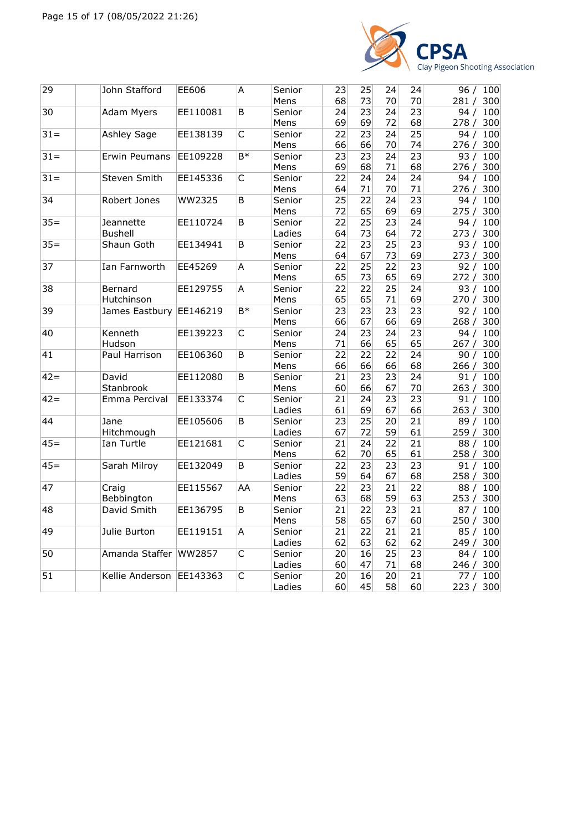

| 29     | John Stafford            | EE606    | Α                       | Senior | 23       | 25 | 24              | 24              | 96 / 100     |
|--------|--------------------------|----------|-------------------------|--------|----------|----|-----------------|-----------------|--------------|
|        |                          |          |                         | Mens   | 68       | 73 | 70              | 70              | 300<br>281/  |
| 30     | Adam Myers               | EE110081 | B                       | Senior | 24       | 23 | 24              | 23              | 94/<br>100   |
|        |                          |          |                         | Mens   | 69       | 69 | 72              | 68              | 278/<br>300  |
| $31 =$ | Ashley Sage              | EE138139 | C                       | Senior | 22       | 23 | 24              | $\overline{25}$ | 100<br>94/   |
|        |                          |          |                         | Mens   | 66       | 66 | 70              | 74              | 276/<br>300  |
| $31 =$ | Erwin Peumans            | EE109228 | B*                      | Senior | 23       | 23 | 24              | $\overline{23}$ | 93/<br>100   |
|        |                          |          |                         | Mens   | 69       | 68 | 71              | 68              | 276/<br>300  |
| $31 =$ | Steven Smith             | EE145336 | C                       | Senior | 22       | 24 | 24              | 24              | 94 / 100     |
|        |                          |          |                         | Mens   | 64       | 71 | 70              | 71              | 276/<br>300  |
| 34     | Robert Jones             | WW2325   | B                       | Senior | 25       | 22 | 24              | $\overline{23}$ | 94/<br>100   |
|        |                          |          |                         | Mens   | 72       | 65 | 69              | 69              | 275 / 300    |
| $35 =$ | Jeannette                | EE110724 | B                       | Senior | 22       | 25 | 23              | 24              | 94/<br>100   |
|        | <b>Bushell</b>           |          |                         | Ladies | 64       | 73 | 64              | 72              | 273/<br>300  |
| $35 =$ | Shaun Goth               | EE134941 | B                       | Senior | 22       | 23 | 25              | 23              | 93/<br>100   |
|        |                          |          |                         | Mens   | 64       | 67 | 73              | 69              | 273/<br>300  |
| 37     | Ian Farnworth            | EE45269  | Α                       | Senior | 22       | 25 | 22              | 23              | 92/<br>100   |
|        |                          |          |                         | Mens   | 65       | 73 | 65              | 69              | 272/<br>300  |
| 38     | Bernard                  | EE129755 | A                       | Senior | 22       | 22 | 25              | 24              | 93/<br>100   |
|        | Hutchinson               |          |                         | Mens   | 65       | 65 | 71              | 69              | 270 / 300    |
| 39     | James Eastbury EE146219  |          | $\overline{B*}$         | Senior | 23       | 23 | 23              | 23              | 92/<br>100   |
|        |                          |          |                         | Mens   | 66       | 67 | 66              | 69              | 268/<br>300  |
| 40     | Kenneth                  | EE139223 | C                       | Senior | 24       | 23 | 24              | 23              | 100<br>94 /  |
|        | Hudson                   |          |                         | Mens   |          | 66 | 65              | 65              | 267/<br>300  |
| 41     | Paul Harrison            |          | B                       |        | 71<br>22 | 22 | 22              | 24              |              |
|        |                          | EE106360 |                         | Senior |          |    | 66              | 68              | 100<br>90/   |
|        |                          |          |                         | Mens   | 66       | 66 |                 |                 | 300<br>266/  |
| $42 =$ | David                    | EE112080 | $\overline{B}$          | Senior | 21       | 23 | 23              | 24              | 91 / 100     |
|        | Stanbrook                |          |                         | Mens   | 60       | 66 | 67              | 70              | 263/<br>300  |
| $42 =$ | Emma Percival            | EE133374 | $\overline{\mathsf{C}}$ | Senior | 21       | 24 | 23              | 23              | 100<br>91/   |
|        |                          |          |                         | Ladies | 61       | 69 | 67              | 66              | 263 / 300    |
| 44     | Jane                     | EE105606 | B                       | Senior | 23       | 25 | 20              | 21              | 100<br>89/   |
|        | Hitchmough               |          |                         | Ladies | 67       | 72 | 59              | 61              | 259/<br>300  |
| $45=$  | Ian Turtle               | EE121681 | $\overline{C}$          | Senior | 21       | 24 | 22              | $\overline{21}$ | 88 /<br>100  |
|        |                          |          |                         | Mens   | 62       | 70 | 65              | 61              | 258/<br>300  |
| $45 =$ | Sarah Milroy             | EE132049 | B                       | Senior | 22       | 23 | 23              | 23              | 91/<br>100   |
|        |                          |          |                         | Ladies | 59       | 64 | 67              | 68              | 258/<br>300  |
| 47     | Craig                    | EE115567 | AA                      | Senior | 22       | 23 | 21              | 22              | 88/<br>100   |
|        | Bebbington               |          |                         | Mens   | 63       | 68 | 59              | 63              | 253 / 300    |
| 48     | David Smith              | EE136795 | B                       | Senior | 21       | 22 | 23              | 21              | 100<br>87/   |
|        |                          |          |                         | Mens   | 58       | 65 | 67              | 60              | 250 / 300    |
| 49     | Julie Burton             | EE119151 | A                       | Senior | 21       | 22 | 21              | 21              | 85/<br>100   |
|        |                          |          |                         | Ladies | 62       | 63 | 62              | 62              | 249 /<br>300 |
| 50     | Amanda Staffer WW2857    |          | C                       | Senior | 20       | 16 | 25              | $\overline{23}$ | 84/<br>100   |
|        |                          |          |                         | Ladies | 60       | 47 | 71              | 68              | 246/<br>300  |
| 51     | Kellie Anderson EE143363 |          | $\overline{C}$          | Senior | 20       | 16 | $\overline{20}$ | $\overline{21}$ | 77 / 100     |
|        |                          |          |                         | Ladies | 60       | 45 | 58              | 60              | 223/<br>300  |
|        |                          |          |                         |        |          |    |                 |                 |              |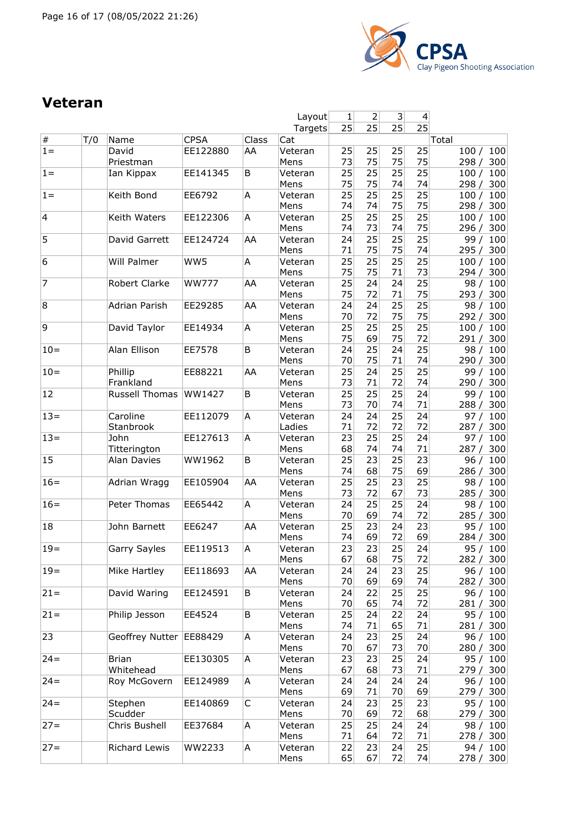

#### **Veteran**

|                         |     |                           |                         |             | Layout            | 1        | 2        | 3                     | 4                     |                                      |
|-------------------------|-----|---------------------------|-------------------------|-------------|-------------------|----------|----------|-----------------------|-----------------------|--------------------------------------|
|                         |     |                           |                         |             | Targets           | 25       | 25       | 25                    | $\overline{25}$       |                                      |
| $\#$<br>$1 =$           | T/0 | Name<br>David             | <b>CPSA</b><br>EE122880 | Class<br>AA | Cat<br>Veteran    | 25       | 25       | 25                    | 25                    | Total<br>100/<br>100                 |
|                         |     | Priestman                 |                         |             | Mens              | 73       | 75       | 75                    | 75                    | 298/<br>300                          |
| $1 =$                   |     | Ian Kippax                | EE141345                | B           | Veteran<br>Mens   | 25<br>75 | 25<br>75 | 25<br>74              | $\overline{25}$<br>74 | 100<br>100/<br>298/<br>300           |
| $1 =$                   |     | Keith Bond                | EE6792                  | A           | Veteran<br>Mens   | 25<br>74 | 25<br>74 | $\overline{25}$<br>75 | 25<br>75              | 100/<br>100<br>300<br>298/           |
| $\overline{\mathbf{4}}$ |     | Keith Waters              | EE122306                | A           | Veteran<br>Mens   | 25<br>74 | 25<br>73 | 25<br>74              | 25<br>75              | 100/<br>100<br>296/<br>300           |
| 5                       |     | David Garrett             | EE124724                | AA          | Veteran<br>Mens   | 24<br>71 | 25<br>75 | 25<br>75              | $\overline{25}$<br>74 | 99 / 100<br>295 / 300                |
| 6                       |     | Will Palmer               | WW5                     | A           | Veteran<br>Mens   | 25<br>75 | 25<br>75 | 25<br>71              | 25<br>73              | 100<br>100/<br>300<br>294/           |
| 7                       |     | Robert Clarke             | <b>WW777</b>            | AA          | Veteran<br>Mens   | 25<br>75 | 24<br>72 | 24<br>71              | 25<br>75              | 98/<br>100<br>300<br>293/            |
| 8                       |     | Adrian Parish             | EE29285                 | AA          | Veteran           | 24<br>70 | 24<br>72 | 25<br>75              | 25<br>75              | 98/<br>100<br>292 / 300              |
| 9                       |     | David Taylor              | EE14934                 | Α           | Mens<br>Veteran   | 25       | 25       | 25                    | 25                    | 100/<br>100                          |
| $10=$                   |     | Alan Ellison              | EE7578                  | B           | Mens<br>Veteran   | 75<br>24 | 69<br>25 | 75<br>24              | 72<br>25              | 300<br>291/<br>100<br>98/            |
| $10 =$                  |     | Phillip                   | EE88221                 | AA          | Mens<br>Veteran   | 70<br>25 | 75<br>24 | 71<br>25              | 74<br>25              | 290/<br>300<br>99/<br>100            |
|                         |     | Frankland                 |                         |             | Mens              | 73       | 71       | 72                    | 74                    | 300<br>290/                          |
| 12                      |     | <b>Russell Thomas</b>     | WW1427                  | B           | Veteran<br>Mens   | 25<br>73 | 25<br>70 | 25<br>74              | 24<br>71              | 99/<br>100<br>288 / 300              |
| $13 =$                  |     | Caroline<br>Stanbrook     | EE112079                | A           | Veteran<br>Ladies | 24<br>71 | 24<br>72 | 25<br>72              | 24<br>72              | 100<br>97/<br>287/<br>300            |
| $13=$                   |     | John<br>Titterington      | EE127613                | Α           | Veteran<br>Mens   | 23<br>68 | 25<br>74 | $\overline{25}$<br>74 | 24<br>71              | 100<br>97/<br>300<br>287/            |
| 15                      |     | Alan Davies               | WW1962                  | B           | Veteran<br>Mens   | 25<br>74 | 23<br>68 | 25<br>75              | 23<br>69              | 96/<br>100<br>286/<br>300            |
| $16=$                   |     | Adrian Wragg              | EE105904                | AA          | Veteran<br>Mens   | 25<br>73 | 25<br>72 | 23<br>67              | 25<br>73              | 98/<br>100<br>300<br>285/            |
| $16=$                   |     | Peter Thomas              | EE65442                 | А           | Veteran<br>Mens   | 24<br>70 | 25<br>69 | 25<br>74              | 24<br>72              | 100<br>98/<br>300<br>285/            |
| 18                      |     | John Barnett              | EE6247                  | AA          | Veteran<br>Mens   | 25<br>74 | 23<br>69 | 24<br>72              | 23<br>69              | 100<br>95/<br>284 / 300              |
| $19 =$                  |     | Garry Sayles              | EE119513                | А           | Veteran<br>Mens   | 23<br>67 | 23<br>68 | 25<br>75              | 24<br>72              | 95 / 100<br>282 / 300                |
| $19 =$                  |     | Mike Hartley              | EE118693                | AA          | Veteran<br>Mens   | 24<br>70 | 24<br>69 | 23<br>69              | 25<br>74              | 96 / 100<br>282 / 300                |
| $21 =$                  |     | David Waring              | EE124591                | B           | Veteran<br>Mens   | 24<br>70 | 22<br>65 | 25<br>74              | 25<br>72              | 96 / 100<br>281/<br>300              |
| $21 =$                  |     | Philip Jesson             | EE4524                  | Β           | Veteran<br>Mens   | 25<br>74 | 24<br>71 | 22<br>65              | 24<br>71              | 95 / 100<br>281 / 300                |
| 23                      |     | Geoffrey Nutter           | EE88429                 | A           | Veteran<br>Mens   | 24<br>70 | 23<br>67 | 25<br>73              | 24<br>70              | 96 / 100                             |
| $24 =$                  |     | <b>Brian</b><br>Whitehead | EE130305                | A           | Veteran           | 23<br>67 | 23<br>68 | 25<br>73              | 24<br>71              | 280 / 300<br>95 / 100<br>279/<br>300 |
| $24 =$                  |     | Roy McGovern              | EE124989                | A           | Mens<br>Veteran   | 24       | 24       | 24<br>70              | 24                    | 96 / 100                             |
| $24 =$                  |     | Stephen                   | EE140869                | C           | Mens<br>Veteran   | 69<br>24 | 71<br>23 | 25                    | 69<br>23              | 279 / 300<br>95/<br>100              |
| $27 =$                  |     | Scudder<br>Chris Bushell  | EE37684                 | Α           | Mens<br>Veteran   | 70<br>25 | 69<br>25 | 72<br>24              | 68<br>24              | 279 / 300<br>98 / 100                |
| $27 =$                  |     | Richard Lewis             | WW2233                  | A           | Mens<br>Veteran   | 71<br>22 | 64<br>23 | 72<br>24              | 71<br>25              | 278 / 300<br>94 / 100                |
|                         |     |                           |                         |             | Mens              | 65       | 67       | 72                    | 74                    | 278/<br>300                          |